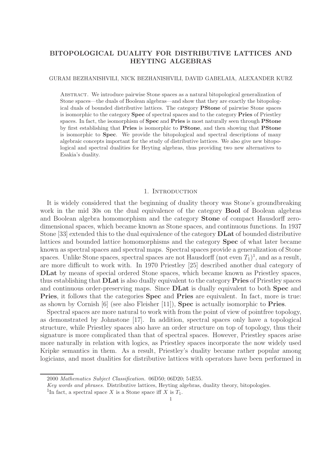# BITOPOLOGICAL DUALITY FOR DISTRIBUTIVE LATTICES AND HEYTING ALGEBRAS

### GURAM BEZHANISHVILI, NICK BEZHANISHVILI, DAVID GABELAIA, ALEXANDER KURZ

Abstract. We introduce pairwise Stone spaces as a natural bitopological generalization of Stone spaces—the duals of Boolean algebras—and show that they are exactly the bitopological duals of bounded distributive lattices. The category PStone of pairwise Stone spaces is isomorphic to the category Spec of spectral spaces and to the category Pries of Priestley spaces. In fact, the isomorphism of **Spec** and **Pries** is most naturally seen through **PStone** by first establishing that Pries is isomorphic to PStone, and then showing that PStone is isomorphic to Spec. We provide the bitopological and spectral descriptions of many algebraic concepts important for the study of distributive lattices. We also give new bitopological and spectral dualities for Heyting algebras, thus providing two new alternatives to Esakia's duality.

## 1. INTRODUCTION

It is widely considered that the beginning of duality theory was Stone's groundbreaking work in the mid 30s on the dual equivalence of the category **Bool** of Boolean algebras and Boolean algebra homomorphism and the category Stone of compact Hausdorff zerodimensional spaces, which became known as Stone spaces, and continuous functions. In 1937 Stone [33] extended this to the dual equivalence of the category DLat of bounded distributive lattices and bounded lattice homomorphisms and the category Spec of what later became known as spectral spaces and spectral maps. Spectral spaces provide a generalization of Stone spaces. Unlike Stone spaces, spectral spaces are not Hausdorff (not even  $T_1$ )<sup>1</sup>, and as a result, are more difficult to work with. In 1970 Priestley [25] described another dual category of DLat by means of special ordered Stone spaces, which became known as Priestley spaces, thus establishing that DLat is also dually equivalent to the category Pries of Priestley spaces and continuous order-preserving maps. Since DLat is dually equivalent to both Spec and Pries, it follows that the categories Spec and Pries are equivalent. In fact, more is true: as shown by Cornish [6] (see also Fleisher [11]), Spec is actually isomorphic to Pries.

Spectral spaces are more natural to work with from the point of view of pointfree topology, as demonstrated by Johnstone [17]. In addition, spectral spaces only have a topological structure, while Priestley spaces also have an order structure on top of topology, thus their signature is more complicated than that of spectral spaces. However, Priestley spaces arise more naturally in relation with logics, as Priestley spaces incorporate the now widely used Kripke semantics in them. As a result, Priestley's duality became rather popular among logicians, and most dualities for distributive lattices with operators have been performed in

<sup>2000</sup> Mathematics Subject Classification. 06D50; 06D20; 54E55.

Key words and phrases. Distributive lattices, Heyting algebras, duality theory, bitopologies.

<sup>&</sup>lt;sup>1</sup>In fact, a spectral space X is a Stone space iff X is  $T_1$ .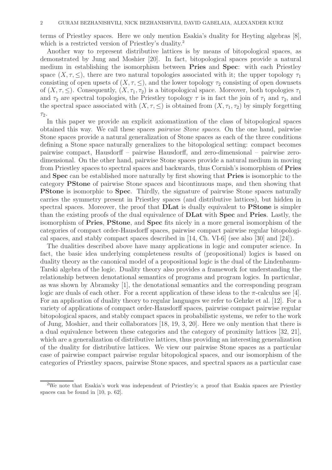terms of Priestley spaces. Here we only mention Esakia's duality for Heyting algebras [8], which is a restricted version of Priestley's duality.<sup>2</sup>

Another way to represent distributive lattices is by means of bitopological spaces, as demonstrated by Jung and Moshier [20]. In fact, bitopological spaces provide a natural medium in establishing the isomorphism between Pries and Spec: with each Priestley space  $(X, \tau, \leq)$ , there are two natural topologies associated with it; the upper topology  $\tau_1$ consisting of open upsets of  $(X, \tau, \leq)$ , and the lower topology  $\tau_2$  consisting of open downsets of  $(X, \tau, \le)$ . Consequently,  $(X, \tau_1, \tau_2)$  is a bitopological space. Moreover, both topologies  $\tau_1$ and  $\tau_2$  are spectral topologies, the Priestley topology  $\tau$  is in fact the join of  $\tau_1$  and  $\tau_2$ , and the spectral space associated with  $(X, \tau, \leq)$  is obtained from  $(X, \tau_1, \tau_2)$  by simply forgetting  $\tau_2$ .

In this paper we provide an explicit axiomatization of the class of bitopological spaces obtained this way. We call these spaces pairwise Stone spaces. On the one hand, pairwise Stone spaces provide a natural generalization of Stone spaces as each of the three conditions defining a Stone space naturally generalizes to the bitopological setting: compact becomes pairwise compact, Hausdorff – pairwise Hausdorff, and zero-dimensional – pairwise zerodimensional. On the other hand, pairwise Stone spaces provide a natural medium in moving from Priestley spaces to spectral spaces and backwards, thus Cornish's isomorphism of Pries and Spec can be established more naturally by first showing that Pries is isomorphic to the category PStone of pairwise Stone spaces and bicontinuous maps, and then showing that PStone is isomorphic to Spec. Thirdly, the signature of pairwise Stone spaces naturally carries the symmetry present in Priestley spaces (and distributive lattices), but hidden in spectral spaces. Moreover, the proof that **DLat** is dually equivalent to **PStone** is simpler than the existing proofs of the dual equivalence of DLat with Spec and Pries. Lastly, the isomorphism of Pries, PStone, and Spec fits nicely in a more general isomorphism of the categories of compact order-Hausdorff spaces, pairwise compact pairwise regular bitopological spaces, and stably compact spaces described in [14, Ch. VI-6] (see also [30] and [24]).

The dualities described above have many applications in logic and computer science. In fact, the basic idea underlying completeness results of (propositional) logics is based on duality theory as the canonical model of a propositional logic is the dual of the Lindenbaum-Tarski algebra of the logic. Duality theory also provides a framework for understanding the relationship between denotational semantics of programs and program logics. In particular, as was shown by Abramsky [1], the denotational semantics and the corresponding program logic are duals of each other. For a recent application of these ideas to the  $\pi$ -calculus see [4]. For an application of duality theory to regular languages we refer to Gehrke et al. [12]. For a variety of applications of compact order-Hausdorff spaces, pairwise compact pairwise regular bitopological spaces, and stably compact spaces in probabilistic systems, we refer to the work of Jung, Moshier, and their collaborators [18, 19, 3, 20]. Here we only mention that there is a dual equivalence between these categories and the category of proximity lattices [32, 21], which are a generalization of distributive lattices, thus providing an interesting generalization of the duality for distributive lattices. We view our pairwise Stone spaces as a particular case of pairwise compact pairwise regular bitopological spaces, and our isomorphism of the categories of Priestley spaces, pairwise Stone spaces, and spectral spaces as a particular case

<sup>2</sup>We note that Esakia's work was independent of Priestley's; a proof that Esakia spaces are Priestley spaces can be found in [10, p. 62].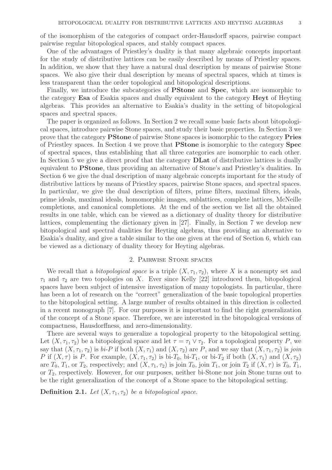of the isomorphism of the categories of compact order-Hausdorff spaces, pairwise compact pairwise regular bitopological spaces, and stably compact spaces.

One of the advantages of Priestley's duality is that many algebraic concepts important for the study of distributive lattices can be easily described by means of Priestley spaces. In addition, we show that they have a natural dual description by means of pairwise Stone spaces. We also give their dual description by means of spectral spaces, which at times is less transparent than the order topological and bitopological descriptions.

Finally, we introduce the subcategories of PStone and Spec, which are isomorphic to the category Esa of Esakia spaces and dually equivalent to the category Heyt of Heyting algebras. This provides an alternative to Esakia's duality in the setting of bitopological spaces and spectral spaces.

The paper is organized as follows. In Section 2 we recall some basic facts about bitopological spaces, introduce pairwise Stone spaces, and study their basic properties. In Section 3 we prove that the category PStone of pairwise Stone spaces is isomorphic to the category Pries of Priestley spaces. In Section 4 we prove that PStone is isomorphic to the category Spec of spectral spaces, thus establishing that all three categories are isomorphic to each other. In Section 5 we give a direct proof that the category **DLat** of distributive lattices is dually equivalent to PStone, thus providing an alternative of Stone's and Priestley's dualities. In Section 6 we give the dual description of many algebraic concepts important for the study of distributive lattices by means of Priestley spaces, pairwise Stone spaces, and spectral spaces. In particular, we give the dual description of filters, prime filters, maximal filters, ideals, prime ideals, maximal ideals, homomorphic images, sublattices, complete lattices, McNeille completions, and canonical completions. At the end of the section we list all the obtained results in one table, which can be viewed as a dictionary of duality theory for distributive lattices, complementing the dictionary given in [27]. Finally, in Section 7 we develop new bitopological and spectral dualities for Heyting algebras, thus providing an alternative to Esakia's duality, and give a table similar to the one given at the end of Section 6, which can be viewed as a dictionary of duality theory for Heyting algebras.

# 2. Pairwise Stone spaces

We recall that a *bitopological space* is a triple  $(X, \tau_1, \tau_2)$ , where X is a nonempty set and  $\tau_1$  and  $\tau_2$  are two topologies on X. Ever since Kelly [22] introduced them, bitopological spaces have been subject of intensive investigation of many topologists. In particular, there has been a lot of research on the "correct" generalization of the basic topological properties to the bitopological setting. A large number of results obtained in this direction is collected in a recent monograph [7]. For our purposes it is important to find the right generalization of the concept of a Stone space. Therefore, we are interested in the bitopological versions of compactness, Hausdorffness, and zero-dimensionality.

There are several ways to generalize a topological property to the bitopological setting. Let  $(X, \tau_1, \tau_2)$  be a bitopological space and let  $\tau = \tau_1 \vee \tau_2$ . For a topological property P, we say that  $(X, \tau_1, \tau_2)$  is  $bi-P$  if both  $(X, \tau_1)$  and  $(X, \tau_2)$  are P, and we say that  $(X, \tau_1, \tau_2)$  is join P if  $(X, \tau)$  is P. For example,  $(X, \tau_1, \tau_2)$  is bi- $T_0$ , bi- $T_1$ , or bi- $T_2$  if both  $(X, \tau_1)$  and  $(X, \tau_2)$ are  $T_0$ ,  $T_1$ , or  $T_2$ , respectively; and  $(X, \tau_1, \tau_2)$  is join  $T_0$ , join  $T_1$ , or join  $T_2$  if  $(X, \tau)$  is  $T_0$ ,  $T_1$ , or  $T_2$ , respectively. However, for our purposes, neither bi-Stone nor join Stone turns out to be the right generalization of the concept of a Stone space to the bitopological setting.

**Definition 2.1.** Let  $(X, \tau_1, \tau_2)$  be a bitopological space.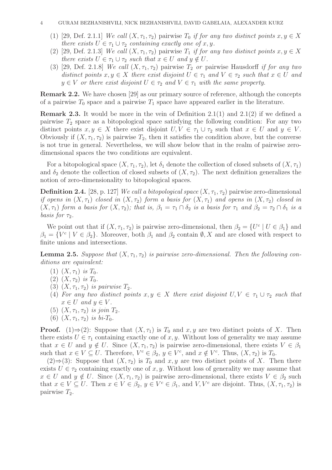- (1) [29, Def. 2.1.1] We call  $(X, \tau_1, \tau_2)$  pairwise  $T_0$  if for any two distinct points  $x, y \in X$ there exists  $U \in \tau_1 \cup \tau_2$  containing exactly one of x, y.
- (2) [29, Def. 2.1.3] We call  $(X, \tau_1, \tau_2)$  pairwise  $T_1$  if for any two distinct points  $x, y \in X$ there exists  $U \in \tau_1 \cup \tau_2$  such that  $x \in U$  and  $y \notin U$ .
- (3) [29, Def. 2.1.8] We call  $(X, \tau_1, \tau_2)$  pairwise  $T_2$  or pairwise Hausdorff if for any two distinct points  $x, y \in X$  there exist disjoint  $U \in \tau_1$  and  $V \in \tau_2$  such that  $x \in U$  and  $y \in V$  or there exist disjoint  $U \in \tau_2$  and  $V \in \tau_1$  with the same property.

Remark 2.2. We have chosen [29] as our primary source of reference, although the concepts of a pairwise  $T_0$  space and a pairwise  $T_1$  space have appeared earlier in the literature.

**Remark 2.3.** It would be more in the vein of Definition 2.1(1) and 2.1(2) if we defined a pairwise  $T_2$  space as a bitopological space satisfying the following condition: For any two distinct points  $x, y \in X$  there exist disjoint  $U, V \in \tau_1 \cup \tau_2$  such that  $x \in U$  and  $y \in V$ . Obviously if  $(X, \tau_1, \tau_2)$  is pairwise  $T_2$ , then it satisfies the condition above, but the converse is not true in general. Nevertheless, we will show below that in the realm of pairwise zerodimensional spaces the two conditions are equivalent.

For a bitopological space  $(X, \tau_1, \tau_2)$ , let  $\delta_1$  denote the collection of closed subsets of  $(X, \tau_1)$ and  $\delta_2$  denote the collection of closed subsets of  $(X, \tau_2)$ . The next definition generalizes the notion of zero-dimensionality to bitopological spaces.

**Definition 2.4.** [28, p. 127] We call a bitopological space  $(X, \tau_1, \tau_2)$  pairwise zero-dimensional if opens in  $(X, \tau_1)$  closed in  $(X, \tau_2)$  form a basis for  $(X, \tau_1)$  and opens in  $(X, \tau_2)$  closed in  $(X, \tau_1)$  form a basis for  $(X, \tau_2)$ ; that is,  $\beta_1 = \tau_1 \cap \delta_2$  is a basis for  $\tau_1$  and  $\beta_2 = \tau_2 \cap \delta_1$  is a basis for  $\tau_2$ .

We point out that if  $(X, \tau_1, \tau_2)$  is pairwise zero-dimensional, then  $\beta_2 = \{U^c \mid U \in \beta_1\}$  and  $\beta_1 = \{V^c \mid V \in \beta_2\}$ . Moreover, both  $\beta_1$  and  $\beta_2$  contain  $\emptyset, X$  and are closed with respect to finite unions and intersections.

**Lemma 2.5.** Suppose that  $(X, \tau_1, \tau_2)$  is pairwise zero-dimensional. Then the following conditions are equivalent:

- (1)  $(X, \tau_1)$  is  $T_0$ .
- (2)  $(X, \tau_2)$  is  $T_0$ .
- (3)  $(X, \tau_1, \tau_2)$  is pairwise  $T_2$ .
- (4) For any two distinct points  $x, y \in X$  there exist disjoint  $U, V \in \tau_1 \cup \tau_2$  such that  $x \in U$  and  $y \in V$ .
- (5)  $(X, \tau_1, \tau_2)$  is join  $T_2$ .
- (6)  $(X, \tau_1, \tau_2)$  is  $bi-T_0$ .

**Proof.** (1)⇒(2): Suppose that  $(X, \tau_1)$  is  $T_0$  and  $x, y$  are two distinct points of X. Then there exists  $U \in \tau_1$  containing exactly one of x, y. Without loss of generality we may assume that  $x \in U$  and  $y \notin U$ . Since  $(X, \tau_1, \tau_2)$  is pairwise zero-dimensional, there exists  $V \in \beta_1$ such that  $x \in V \subseteq U$ . Therefore,  $V^c \in \beta_2$ ,  $y \in V^c$ , and  $x \notin V^c$ . Thus,  $(X, \tau_2)$  is  $T_0$ .

 $(2)$  ⇒ (3): Suppose that  $(X, \tau_2)$  is  $T_0$  and  $x, y$  are two distinct points of X. Then there exists  $U \in \tau_2$  containing exactly one of x, y. Without loss of generality we may assume that  $x \in U$  and  $y \notin U$ . Since  $(X, \tau_1, \tau_2)$  is pairwise zero-dimensional, there exists  $V \in \beta_2$  such that  $x \in V \subseteq U$ . Then  $x \in V \in \beta_2$ ,  $y \in V^c \in \beta_1$ , and  $V, V^c$  are disjoint. Thus,  $(X, \tau_1, \tau_2)$  is pairwise  $T_2$ .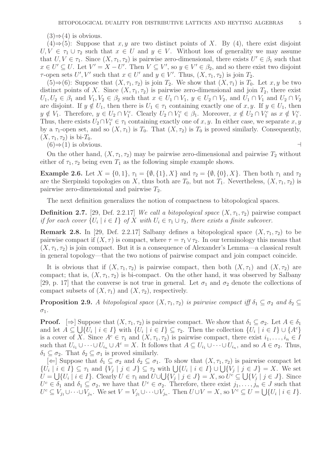$(3) \Rightarrow (4)$  is obvious.

 $(4) \Rightarrow (5)$ : Suppose that x, y are two distinct points of X. By (4), there exist disjoint  $U, V \in \tau_1 \cup \tau_2$  such that  $x \in U$  and  $y \in V$ . Without loss of generality we may assume that  $U, V \in \tau_1$ . Since  $(X, \tau_1, \tau_2)$  is pairwise zero-dimensional, there exists  $U' \in \beta_1$  such that  $x \in U' \subseteq U$ . Let  $V' = X - U'$ . Then  $V \subseteq V'$ , so  $y \in V' \in \beta_2$ , and so there exist two disjoint  $\tau$ -open sets U', V' such that  $x \in U'$  and  $y \in V'$ . Thus,  $(X, \tau_1, \tau_2)$  is join  $T_2$ .

(5)⇒(6): Suppose that  $(X, \tau_1, \tau_2)$  is join  $T_2$ . We show that  $(X, \tau_1)$  is  $T_0$ . Let x, y be two distinct points of X. Since  $(X, \tau_1, \tau_2)$  is pairwise zero-dimensional and join  $T_2$ , there exist  $U_1, U_2 \in \beta_1$  and  $V_1, V_2 \in \beta_2$  such that  $x \in U_1 \cap V_1$ ,  $y \in U_2 \cap V_2$ , and  $U_1 \cap V_1$  and  $U_2 \cap V_2$ are disjoint. If  $y \notin U_1$ , then there is  $U_1 \in \tau_1$  containing exactly one of  $x, y$ . If  $y \in U_1$ , then  $y \notin V_1$ . Therefore,  $y \in U_2 \cap V_1^c$ . Clearly  $U_2 \cap V_1^c \in \beta_1$ . Moreover,  $x \notin U_2 \cap V_1^c$  as  $x \notin V_1^c$ . Thus, there exists  $U_2 \cap V_1^c \in \tau_1$  containing exactly one of  $x, y$ . In either case, we separate  $x, y$ by a  $\tau_1$ -open set, and so  $(X, \tau_1)$  is  $T_0$ . That  $(X, \tau_2)$  is  $T_0$  is proved similarly. Consequently,  $(X, \tau_1, \tau_2)$  is bi- $T_0$ .

 $(6) \Rightarrow (1)$  is obvious.  $\rightarrow$ 

On the other hand,  $(X, \tau_1, \tau_2)$  may be pairwise zero-dimensional and pairwise  $T_2$  without either of  $\tau_1, \tau_2$  being even  $T_1$  as the following simple example shows.

Example 2.6. Let  $X = \{0, 1\}, \tau_1 = \{\emptyset, \{1\}, X\}$  and  $\tau_2 = \{\emptyset, \{0\}, X\}$ . Then both  $\tau_1$  and  $\tau_2$ are the Sierpinski topologies on X, thus both are  $T_0$ , but not  $T_1$ . Nevertheless,  $(X, \tau_1, \tau_2)$  is pairwise zero-dimensional and pairwise  $T_2$ .

The next definition generalizes the notion of compactness to bitopological spaces.

**Definition 2.7.** [29, Def. 2.2.17] We call a bitopological space  $(X, \tau_1, \tau_2)$  pairwise compact if for each cover  $\{U_i \mid i \in I\}$  of X with  $U_i \in \tau_1 \cup \tau_2$ , there exists a finite subcover.

**Remark 2.8.** In [29, Def. 2.2.17] Salbany defines a bitopological space  $(X, \tau_1, \tau_2)$  to be pairwise compact if  $(X, \tau)$  is compact, where  $\tau = \tau_1 \vee \tau_2$ . In our terminology this means that  $(X, \tau_1, \tau_2)$  is join compact. But it is a consequence of Alexander's Lemma—a classical result in general topology—that the two notions of pairwise compact and join compact coincide.

It is obvious that if  $(X, \tau_1, \tau_2)$  is pairwise compact, then both  $(X, \tau_1)$  and  $(X, \tau_2)$  are compact; that is,  $(X, \tau_1, \tau_2)$  is bi-compact. On the other hand, it was observed by Salbany [29, p. 17] that the converse is not true in general. Let  $\sigma_1$  and  $\sigma_2$  denote the collections of compact subsets of  $(X, \tau_1)$  and  $(X, \tau_2)$ , respectively.

**Proposition 2.9.** A bitopological space  $(X, \tau_1, \tau_2)$  is pairwise compact iff  $\delta_1 \subseteq \sigma_2$  and  $\delta_2 \subseteq$  $\sigma_1.$ 

**Proof.**  $[\Rightarrow]$  Suppose that  $(X, \tau_1, \tau_2)$  is pairwise compact. We show that  $\delta_1 \subseteq \sigma_2$ . Let  $A \in \delta_1$ and let  $A \subseteq \bigcup \{U_i \mid i \in I\}$  with  $\{U_i \mid i \in I\} \subseteq \tau_2$ . Then the collection  $\{U_i \mid i \in I\} \cup \{A^c\}$ is a cover of X. Since  $A^c \in \tau_1$  and  $(X, \tau_1, \tau_2)$  is pairwise compact, there exist  $i_1, \ldots, i_n \in I$ such that  $U_{i_1} \cup \cdots \cup U_{i_n} \cup A^c = X$ . It follows that  $A \subseteq U_{i_1} \cup \cdots \cup U_{i_n}$ , and so  $A \in \sigma_2$ . Thus,  $\delta_1 \subseteq \sigma_2$ . That  $\delta_2 \subseteq \sigma_1$  is proved similarly.

 $[\Leftarrow]$  Suppose that  $\delta_1 \subseteq \sigma_2$  and  $\delta_2 \subseteq \sigma_1$ . To show that  $(X, \tau_1, \tau_2)$  is pairwise compact let  $\{U_i \mid i \in I\} \subseteq \tau_1$  and  $\{V_j \mid j \in J\} \subseteq \tau_2$  with  $\bigcup \{U_i \mid i \in I\} \cup \bigcup \{V_j \mid j \in J\} = X$ . We set  $U = \bigcup \{U_i \mid i \in I\}.$  Clearly  $U \in \tau_1$  and  $U \cup \bigcup \{V_j \mid j \in J\} = X$ , so  $U^c \subseteq \bigcup \{V_j \mid j \in J\}.$  Since  $U^c \in \delta_1$  and  $\delta_1 \subseteq \sigma_2$ , we have that  $U^c \in \sigma_2$ . Therefore, there exist  $j_1, \ldots, j_n \in J$  such that  $U^c \subseteq V_{j_1} \cup \cdots \cup V_{j_n}$ . We set  $V = V_{j_1} \cup \cdots \cup V_{j_n}$ . Then  $U \cup V = X$ , so  $V^c \subseteq U = \bigcup \{U_i \mid i \in I\}$ .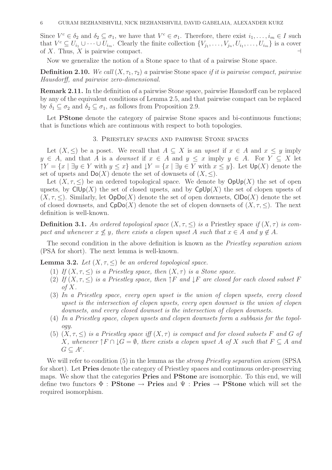Since  $V^c \in \delta_2$  and  $\delta_2 \subseteq \sigma_1$ , we have that  $V^c \in \sigma_1$ . Therefore, there exist  $i_1, \ldots, i_m \in I$  such that  $V^c \subseteq U_{i_1} \cup \cdots \cup U_{i_m}$ . Clearly the finite collection  $\{V_{j_1}, \ldots, V_{j_n}, U_{i_1}, \ldots, U_{i_m}\}$  is a cover of X. Thus, X is pairwise compact.  $\vdash$ 

Now we generalize the notion of a Stone space to that of a pairwise Stone space.

**Definition 2.10.** We call  $(X, \tau_1, \tau_2)$  a pairwise Stone space if it is pairwise compact, pairwise Hausdorff, and pairwise zero-dimensional.

Remark 2.11. In the definition of a pairwise Stone space, pairwise Hausdorff can be replaced by any of the equivalent conditions of Lemma 2.5, and that pairwise compact can be replaced by  $\delta_1 \subseteq \sigma_2$  and  $\delta_2 \subseteq \sigma_1$ , as follows from Proposition 2.9.

Let **PStone** denote the category of pairwise Stone spaces and bi-continuous functions; that is functions which are continuous with respect to both topologies.

## 3. Priestley spaces and pairwise Stone spaces

Let  $(X, \leq)$  be a poset. We recall that  $A \subseteq X$  is an upset if  $x \in A$  and  $x \leq y$  imply  $y \in A$ , and that A is a *downset* if  $x \in A$  and  $y \leq x$  imply  $y \in A$ . For  $Y \subseteq X$  let  $\uparrow Y = \{x \mid \exists y \in Y \text{ with } y \leq x\}$  and  $\downarrow Y = \{x \mid \exists y \in Y \text{ with } x \leq y\}$ . Let  $\mathsf{Up}(X)$  denote the set of upsets and  $\text{Do}(X)$  denote the set of downsets of  $(X, \leq)$ .

Let  $(X, \tau, \leq)$  be an ordered topological space. We denote by  $\text{OpUp}(X)$  the set of open upsets, by  $\text{ClUp}(X)$  the set of closed upsets, and by  $\text{CplUp}(X)$  the set of clopen upsets of  $(X, \tau, \leq)$ . Similarly, let  $OpDo(X)$  denote the set of open downsets,  $ClDo(X)$  denote the set of closed downsets, and  $CpDo(X)$  denote the set of clopen downsets of  $(X, \tau, \leq)$ . The next definition is well-known.

**Definition 3.1.** An ordered topological space  $(X, \tau, \leq)$  is a Priestley space if  $(X, \tau)$  is compact and whenever  $x \nless y$ , there exists a clopen upset A such that  $x \in A$  and  $y \notin A$ .

The second condition in the above definition is known as the *Priestley separation axiom* (PSA for short). The next lemma is well-known.

**Lemma 3.2.** Let  $(X, \tau, \leq)$  be an ordered topological space.

- (1) If  $(X, \tau, \leq)$  is a Priestley space, then  $(X, \tau)$  is a Stone space.
- (2) If  $(X, \tau, \leq)$  is a Priestley space, then  $\uparrow F$  and  $\downarrow F$  are closed for each closed subset F of  $X$ .
- (3) In a Priestley space, every open upset is the union of clopen upsets, every closed upset is the intersection of clopen upsets, every open downset is the union of clopen downsets, and every closed downset is the intersection of clopen downsets.
- (4) In a Priestley space, clopen upsets and clopen downsets form a subbasis for the topology.
- (5)  $(X, \tau, \leq)$  is a Priestley space iff  $(X, \tau)$  is compact and for closed subsets F and G of X, whenever  $\uparrow F \cap \downarrow G = \emptyset$ , there exists a clopen upset A of X such that  $F \subseteq A$  and  $G \subseteq A^c$ .

We will refer to condition (5) in the lemma as the *strong Priestley separation axiom* (SPSA) for short). Let Pries denote the category of Priestley spaces and continuous order-preserving maps. We show that the categories Pries and PStone are isomorphic. To this end, we will define two functors  $\Phi$  : **PStone**  $\rightarrow$  **Pries** and  $\Psi$  : **Pries**  $\rightarrow$  **PStone** which will set the required isomorphism.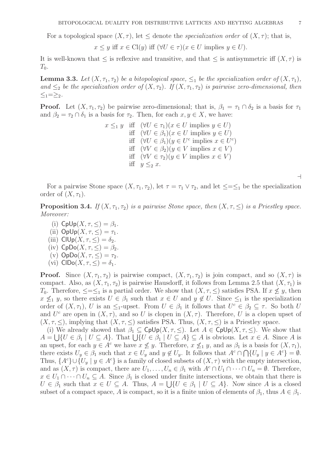For a topological space  $(X, \tau)$ , let  $\leq$  denote the *specialization order* of  $(X, \tau)$ ; that is,

$$
x \leq y
$$
 iff  $x \in Cl(y)$  iff  $(\forall U \in \tau)(x \in U$  implies  $y \in U)$ .

It is well-known that  $\leq$  is reflexive and transitive, and that  $\leq$  is antisymmetric iff  $(X, \tau)$  is  $T_0$ .

**Lemma 3.3.** Let  $(X, \tau_1, \tau_2)$  be a bitopological space,  $\leq_1$  be the specialization order of  $(X, \tau_1)$ , and  $\leq_2$  be the specialization order of  $(X, \tau_2)$ . If  $(X, \tau_1, \tau_2)$  is pairwise zero-dimensional, then  $\langle -1 \rangle = \rangle_2$ .

**Proof.** Let  $(X, \tau_1, \tau_2)$  be pairwise zero-dimensional; that is,  $\beta_1 = \tau_1 \cap \delta_2$  is a basis for  $\tau_1$ and  $\beta_2 = \tau_2 \cap \delta_1$  is a basis for  $\tau_2$ . Then, for each  $x, y \in X$ , we have:

> $x \leq_1 y$  iff  $(\forall U \in \tau_1)(x \in U \text{ implies } y \in U)$ iff  $(\forall U \in \beta_1)(x \in U \text{ implies } y \in U)$ iff  $(\forall U \in \beta_1)(y \in U^c \text{ implies } x \in U^c)$ iff  $(\forall V \in \beta_2)(y \in V \text{ implies } x \in V)$ iff  $(\forall V \in \tau_2)(y \in V \text{ implies } x \in V)$ iff  $y \leq_2 x$ .

> > ⊣

For a pairwise Stone space  $(X, \tau_1, \tau_2)$ , let  $\tau = \tau_1 \vee \tau_2$ , and let  $\leq=\leq_1$  be the specialization order of  $(X, \tau_1)$ .

**Proposition 3.4.** If  $(X, \tau_1, \tau_2)$  is a pairwise Stone space, then  $(X, \tau, \leq)$  is a Priestley space. Moreover:

- (i)  $CpUp(X, \tau, \leq) = \beta_1$ .
- (ii)  $OpUp(X, \tau, \leq) = \tau_1$ .
- (iii)  $\text{ClUp}(X, \tau, \leq) = \delta_2$ .
- (iv)  $CpDo(X, \tau, \leq) = \beta_2$ .
- (v)  $\mathsf{OpDo}(X,\tau,\leq)=\tau_2.$
- (vi)  $\text{CIDo}(X, \tau, \leq) = \delta_1$ .

**Proof.** Since  $(X, \tau_1, \tau_2)$  is pairwise compact,  $(X, \tau_1, \tau_2)$  is join compact, and so  $(X, \tau)$  is compact. Also, as  $(X, \tau_1, \tau_2)$  is pairwise Hausdorff, it follows from Lemma 2.5 that  $(X, \tau_1)$  is T<sub>0</sub>. Therefore,  $\leq=\leq_1$  is a partial order. We show that  $(X, \tau, \leq)$  satisfies PSA. If  $x \not\leq y$ , then  $x \nleq_1 y$ , so there exists  $U \in \beta_1$  such that  $x \in U$  and  $y \notin U$ . Since  $\leq_1$  is the specialization order of  $(X, \tau_1)$ , U is an  $\leq_1$ -upset. From  $U \in \beta_1$  it follows that  $U^c \in \beta_2 \subseteq \tau$ . So both U and  $U^c$  are open in  $(X, \tau)$ , and so U is clopen in  $(X, \tau)$ . Therefore, U is a clopen upset of  $(X, \tau, \leq)$ , implying that  $(X, \tau, \leq)$  satisfies PSA. Thus,  $(X, \tau, \leq)$  is a Priestley space.

(i) We already showed that  $\beta_1 \subset \text{Cplp}(X, \tau, \leq)$ . Let  $A \in \text{Cplp}(X, \tau, \leq)$ . We show that  $A = \bigcup \{U \in \beta_1 \mid U \subseteq A\}$ . That  $\bigcup \{U \in \beta_1 \mid U \subseteq A\} \subseteq A$  is obvious. Let  $x \in A$ . Since A is an upset, for each  $y \in A^c$  we have  $x \not\leq y$ . Therefore,  $x \not\leq_1 y$ , and as  $\beta_1$  is a basis for  $(X, \tau_1)$ , there exists  $U_y \in \beta_1$  such that  $x \in U_y$  and  $y \notin U_y$ . It follows that  $A^c \cap \bigcap \{U_y \mid y \in A^c\} = \emptyset$ . Thus,  $\{A^c\} \cup \{U_y | y \in A^c\}$  is a family of closed subsets of  $(X, \tau)$  with the empty intersection, and as  $(X, \tau)$  is compact, there are  $U_1, \ldots, U_n \in \beta_1$  with  $A^c \cap U_1 \cap \cdots \cap U_n = \emptyset$ . Therefore,  $x \in U_1 \cap \cdots \cap U_n \subseteq A$ . Since  $\beta_1$  is closed under finite intersections, we obtain that there is  $U \in \beta_1$  such that  $x \in U \subseteq A$ . Thus,  $A = \bigcup \{U \in \beta_1 \mid U \subseteq A\}$ . Now since A is a closed subset of a compact space, A is compact, so it is a finite union of elements of  $\beta_1$ , thus  $A \in \beta_1$ .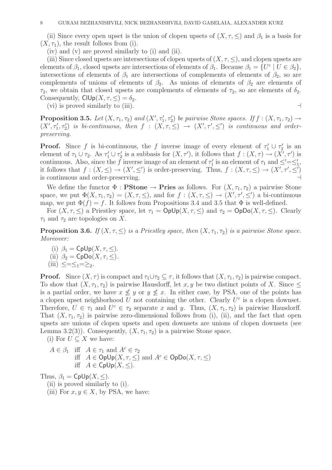(ii) Since every open upset is the union of clopen upsets of  $(X, \tau, \leq)$  and  $\beta_1$  is a basis for  $(X, \tau_1)$ , the result follows from (i).

(iv) and (v) are proved similarly to (i) and (ii).

(iii) Since closed upsets are intersections of clopen upsets of  $(X, \tau, \leq)$ , and clopen upsets are elements of  $\beta_1$ , closed upsets are intersections of elements of  $\beta_1$ . Because  $\beta_1 = \{U^c \mid U \in \beta_2\},\$ intersections of elements of  $\beta_1$  are intersections of complements of elements of  $\beta_2$ , so are complements of unions of elements of  $\beta_2$ . As unions of elements of  $\beta_2$  are elements of  $\tau_2$ , we obtain that closed upsets are complements of elements of  $\tau_2$ , so are elements of  $\delta_2$ . Consequently,  $\text{ClUp}(X, \tau, \leq) = \delta_2$ .

(vi) is proved similarly to (iii).  $\Box$ 

**Proposition 3.5.** Let  $(X, \tau_1, \tau_2)$  and  $(X', \tau'_1, \tau'_2)$  be pairwise Stone spaces. If  $f : (X, \tau_1, \tau_2) \rightarrow$  $(X', \tau'_1, \tau'_2)$  is bi-continuous, then  $f : (X, \tau, \leq) \rightarrow (X', \tau', \leq')$  is continuous and orderpreserving.

**Proof.** Since f is bi-continuous, the f inverse image of every element of  $\tau_1' \cup \tau_2'$  $y'_2$  is an element of  $\tau_1 \cup \tau_2$ . As  $\tau'_1 \cup \tau'_2$ '<sub>2</sub> is a subbasis for  $(X, \tau')$ , it follows that  $f : (X, \tau) \to (\tilde{X'}, \tau')$  is continuous. Also, since the f inverse image of an element of  $\tau_1$ '<sub>1</sub> is an element of  $\tau_1$  and  $\leq'=\leq'_1$ , it follows that  $f:(X,\leq)\to (X',\leq')$  is order-preserving. Thus,  $f:(X,\tau,\leq)\to (X',\tau',\leq')$ is continuous and order-preserving.

We define the functor  $\Phi :$  **PStone**  $\rightarrow$  **Pries** as follows. For  $(X, \tau_1, \tau_2)$  a pairwise Stone space, we put  $\Phi(X, \tau_1, \tau_2) = (X, \tau, \leq),$  and for  $f : (X, \tau, \leq) \to (X', \tau', \leq')$  a bi-continuous map, we put  $\Phi(f) = f$ . It follows from Propositions 3.4 and 3.5 that  $\Phi$  is well-defined.

For  $(X, \tau, \leq)$  a Priestley space, let  $\tau_1 = \text{Oplp}(X, \tau, \leq)$  and  $\tau_2 = \text{Oplp}(X, \tau, \leq)$ . Clearly  $\tau_1$  and  $\tau_2$  are topologies on X.

**Proposition 3.6.** If  $(X, \tau, \leq)$  is a Priestley space, then  $(X, \tau_1, \tau_2)$  is a pairwise Stone space. Moreover:

(i)  $\beta_1 = \text{Cplp}(X, \tau, \leq).$ (ii)  $\beta_2 = \text{CpDo}(X, \tau, \leq).$ (iii)  $\lt = \lt_1 = \gt_2$ .

**Proof.** Since  $(X, \tau)$  is compact and  $\tau_1 \cup \tau_2 \subseteq \tau$ , it follows that  $(X, \tau_1, \tau_2)$  is pairwise compact. To show that  $(X, \tau_1, \tau_2)$  is pairwise Hausdorff, let x, y be two distinct points of X. Since  $\leq$ is a partial order, we have  $x \not\leq y$  or  $y \not\leq x$ . In either case, by PSA, one of the points has a clopen upset neighborhood  $U$  not containing the other. Clearly  $U^c$  is a clopen downset. Therefore,  $U \in \tau_1$  and  $U^c \in \tau_2$  separate x and y. Thus,  $(X, \tau_1, \tau_2)$  is pairwise Hausdorff. That  $(X, \tau_1, \tau_2)$  is pairwise zero-dimensional follows from (i), (ii), and the fact that open upsets are unions of clopen upsets and open downsets are unions of clopen downsets (see Lemma 3.2(3)). Consequently,  $(X, \tau_1, \tau_2)$  is a pairwise Stone space.

(i) For  $U \subseteq X$  we have:

$$
A \in \beta_1 \quad \text{iff} \quad A \in \tau_1 \text{ and } A^c \in \tau_2
$$
\n
$$
\text{iff} \quad A \in \text{OpUp}(X, \tau, \leq) \text{ and } A^c \in \text{OpDo}(X, \tau, \leq)
$$
\n
$$
\text{iff} \quad A \in \text{OpUp}(X, \leq).
$$

Thus,  $\beta_1 = \text{CpUp}(X, \leq)$ .

- (ii) is proved similarly to (i).
- (iii) For  $x, y \in X$ , by PSA, we have: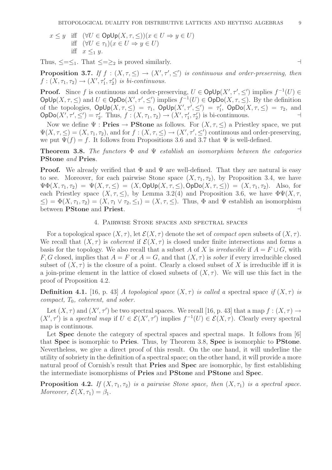$x \leq y$  iff  $(\forall U \in \text{OpUp}(X, \tau, \leq))(x \in U \Rightarrow y \in U)$ iff  $(\forall U \in \tau_1)(x \in U \Rightarrow y \in U)$ iff  $x \leq_1 y$ .

Thus,  $\leq=\leq_1$ . That  $\leq=\geq_2$  is proved similarly.

**Proposition 3.7.** If  $f : (X, \tau, \leq) \to (X', \tau', \leq')$  is continuous and order-preserving, then  $f: (X, \tau_1, \tau_2) \to (X', \tau_1', \tau_2')$  is bi-continuous.

**Proof.** Since f is continuous and order-preserving,  $U \in \text{OpUp}(X', \tau', \leq')$  implies  $f^{-1}(U) \in$  $\mathsf{OpUp}(X, \tau, \leq)$  and  $U \in \mathsf{OpDo}(X', \tau', \leq')$  implies  $f^{-1}(U) \in \mathsf{OpDo}(X, \tau, \leq)$ . By the definition of the topologies,  $\text{OpUp}(X, \tau, \leq) = \tau_1$ ,  $\text{OpUp}(X', \tau', \leq') = \tau_1$  $\tau'_1$ , OpDo $(X, \tau, \leq) = \tau_2$ , and  $\mathsf{OpDo}(X',\tau',\leq')=\tau'_2$ 2. Thus,  $f : (X, \tau_1, \tau_2) \to (X', \tau_1', \tau_2')$  is bi-continuous.  $\dashv$ 

Now we define  $\Psi :$  **Pries**  $\rightarrow$  **PStone** as follows. For  $(X, \tau, \leq)$  a Priestley space, we put  $\Psi(X, \tau, \leq) = (X, \tau_1, \tau_2)$ , and for  $f : (X, \tau, \leq) \to (X', \tau', \leq')$  continuous and order-preserving, we put  $\Psi(f) = f$ . It follows from Propositions 3.6 and 3.7 that  $\Psi$  is well-defined.

**Theorem 3.8.** The functors  $\Phi$  and  $\Psi$  establish an isomorphism between the categories PStone and Pries.

**Proof.** We already verified that  $\Phi$  and  $\Psi$  are well-defined. That they are natural is easy to see. Moreover, for each pairwise Stone space  $(X, \tau_1, \tau_2)$ , by Proposition 3.4, we have  $\Psi\Phi(X,\tau_1,\tau_2) = \Psi(X,\tau,\leq) = (X,\text{Oplp}(X,\tau,\leq),\text{Oplo}(X,\tau,\leq)) = (X,\tau_1,\tau_2).$  Also, for each Priestley space  $(X, \tau, \leq)$ , by Lemma 3.2(4) and Proposition 3.6, we have  $\Phi \Psi(X, \tau, \leq)$  $\leq$ ) =  $\Phi(X, \tau_1, \tau_2) = (X, \tau_1 \vee \tau_2, \leq_1) = (X, \tau, \leq)$ . Thus,  $\Phi$  and  $\Psi$  establish an isomorphism between PStone and Priest. ⊣

# 4. Pairwise Stone spaces and spectral spaces

For a topological space  $(X, \tau)$ , let  $\mathcal{E}(X, \tau)$  denote the set of *compact open* subsets of  $(X, \tau)$ . We recall that  $(X, \tau)$  is *coherent* if  $\mathcal{E}(X, \tau)$  is closed under finite intersections and forms a basis for the topology. We also recall that a subset A of X is irreducible if  $A = F \cup G$ , with F, G closed, implies that  $A = F$  or  $A = G$ , and that  $(X, \tau)$  is sober if every irreducible closed subset of  $(X, \tau)$  is the closure of a point. Clearly a closed subset of X is irreducible iff it is a join-prime element in the lattice of closed subsets of  $(X, \tau)$ . We will use this fact in the proof of Proposition 4.2.

**Definition 4.1.** [16, p. 43] A topological space  $(X, \tau)$  is called a spectral space if  $(X, \tau)$  is compact,  $T_0$ , coherent, and sober.

Let  $(X, \tau)$  and  $(X', \tau')$  be two spectral spaces. We recall [16, p. 43] that a map  $f : (X, \tau) \to$  $(X',\tau')$  is a spectral map if  $U \in \mathcal{E}(X',\tau')$  implies  $f^{-1}(U) \in \mathcal{E}(X,\tau)$ . Clearly every spectral map is continuous.

Let **Spec** denote the category of spectral spaces and spectral maps. It follows from [6] that Spec is isomorphic to Pries. Thus, by Theorem 3.8, Spec is isomorphic to PStone. Nevertheless, we give a direct proof of this result. On the one hand, it will underline the utility of sobriety in the definition of a spectral space; on the other hand, it will provide a more natural proof of Cornish's result that Pries and Spec are isomorphic, by first establishing the intermediate isomorphisms of Pries and PStone and PStone and Spec.

**Proposition 4.2.** If  $(X, \tau_1, \tau_2)$  is a pairwise Stone space, then  $(X, \tau_1)$  is a spectral space. Moreover,  $\mathcal{E}(X,\tau_1)=\beta_1$ .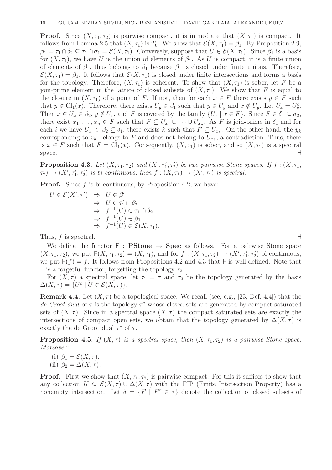**Proof.** Since  $(X, \tau_1, \tau_2)$  is pairwise compact, it is immediate that  $(X, \tau_1)$  is compact. It follows from Lemma 2.5 that  $(X, \tau_1)$  is  $T_0$ . We show that  $\mathcal{E}(X, \tau_1) = \beta_1$ . By Proposition 2.9,  $\beta_1 = \tau_1 \cap \delta_2 \subseteq \tau_1 \cap \sigma_1 = \mathcal{E}(X, \tau_1)$ . Conversely, suppose that  $U \in \mathcal{E}(X, \tau_1)$ . Since  $\beta_1$  is a basis for  $(X, \tau_1)$ , we have U is the union of elements of  $\beta_1$ . As U is compact, it is a finite union of elements of  $\beta_1$ , thus belongs to  $\beta_1$  because  $\beta_1$  is closed under finite unions. Therefore,  $\mathcal{E}(X,\tau_1)=\beta_1$ . It follows that  $\mathcal{E}(X,\tau_1)$  is closed under finite intersections and forms a basis for the topology. Therefore,  $(X, \tau_1)$  is coherent. To show that  $(X, \tau_1)$  is sober, let F be a join-prime element in the lattice of closed subsets of  $(X, \tau_1)$ . We show that F is equal to the closure in  $(X, \tau_1)$  of a point of F. If not, then for each  $x \in F$  there exists  $y \in F$  such that  $y \notin Cl_1(x)$ . Therefore, there exists  $U_y \in \beta_1$  such that  $y \in U_y$  and  $x \notin U_y$ . Let  $U_x = U_y^c$ . Then  $x \in U_x \in \beta_2$ ,  $y \notin U_x$ , and F is covered by the family  $\{U_x \mid x \in F\}$ . Since  $F \in \delta_1 \subseteq \sigma_2$ , there exist  $x_1, \ldots, x_n \in F$  such that  $F \subseteq U_{x_1} \cup \cdots \cup U_{x_n}$ . As F is join-prime in  $\delta_1$  and for each *i* we have  $U_{x_i} \in \beta_2 \subseteq \delta_1$ , there exists k such that  $F \subseteq U_{x_k}$ . On the other hand, the  $y_k$ corresponding to  $x_k$  belongs to F and does not belong to  $U_{x_k}$ , a contradiction. Thus, there is  $x \in F$  such that  $F = \text{Cl}_1(x)$ . Consequently,  $(X, \tau_1)$  is sober, and so  $(X, \tau_1)$  is a spectral space.  $\Box$ 

**Proposition 4.3.** Let  $(X, \tau_1, \tau_2)$  and  $(X', \tau'_1, \tau'_2)$  be two pairwise Stone spaces. If  $f : (X, \tau_1, \tau'_2)$  $\tau_1(\tau_1', \tau_1', \tau_2')$  is bi-continuous, then  $f: (X, \tau_1) \to (X', \tau_1')$  is spectral.

**Proof.** Since  $f$  is bi-continuous, by Proposition 4.2, we have:

$$
U \in \mathcal{E}(X', \tau'_1) \Rightarrow U \in \beta'_1
$$
  
\n
$$
\Rightarrow U \in \tau'_1 \cap \delta'_2
$$
  
\n
$$
\Rightarrow f^{-1}(U) \in \tau_1 \cap \delta_2
$$
  
\n
$$
\Rightarrow f^{-1}(U) \in \beta_1
$$
  
\n
$$
\Rightarrow f^{-1}(U) \in \mathcal{E}(X, \tau_1).
$$

Thus, f is spectral.  $\Box$ 

We define the functor  $F : P$ Stone  $\rightarrow$  Spec as follows. For a pairwise Stone space  $(X, \tau_1, \tau_2)$ , we put  $F(X, \tau_1, \tau_2) = (X, \tau_1)$ , and for  $f: (X, \tau_1, \tau_2) \to (X', \tau_1', \tau_2')$  bi-continuous, we put  $F(f) = f$ . It follows from Propositions 4.2 and 4.3 that F is well-defined. Note that F is a forgetful functor, forgetting the topology  $\tau_2$ .

For  $(X, \tau)$  a spectral space, let  $\tau_1 = \tau$  and  $\tau_2$  be the topology generated by the basis  $\Delta(X,\tau) = \{U^c \mid U \in \mathcal{E}(X,\tau)\}.$ 

**Remark 4.4.** Let  $(X, \tau)$  be a topological space. We recall (see, e.g., [23, Def. 4.4]) that the de Groot dual of  $\tau$  is the topology  $\tau^*$  whose closed sets are generated by compact saturated sets of  $(X, \tau)$ . Since in a spectral space  $(X, \tau)$  the compact saturated sets are exactly the intersections of compact open sets, we obtain that the topology generated by  $\Delta(X, \tau)$  is exactly the de Groot dual  $\tau^*$  of  $\tau$ .

**Proposition 4.5.** If  $(X, \tau)$  is a spectral space, then  $(X, \tau_1, \tau_2)$  is a pairwise Stone space. Moreover:

(i) 
$$
\beta_1 = \mathcal{E}(X, \tau)
$$
.  
(ii)  $\beta_2 = \Delta(X, \tau)$ .

**Proof.** First we show that  $(X, \tau_1, \tau_2)$  is pairwise compact. For this it suffices to show that any collection  $K \subseteq \mathcal{E}(X, \tau) \cup \Delta(X, \tau)$  with the FIP (Finite Intersection Property) has a nonempty intersection. Let  $\delta = \{F \mid F^c \in \tau\}$  denote the collection of closed subsets of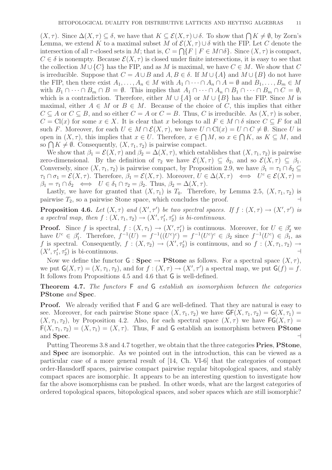$(X, \tau)$ . Since  $\Delta(X, \tau) \subseteq \delta$ , we have that  $K \subseteq \mathcal{E}(X, \tau) \cup \delta$ . To show that  $\bigcap K \neq \emptyset$ , by Zorn's Lemma, we extend K to a maximal subset M of  $\mathcal{E}(X, \tau) \cup \delta$  with the FIP. Let C denote the intersection of all  $\tau$ -closed sets in M; that is,  $C = \bigcap \{F \mid F \in M \cap \delta\}$ . Since  $(X, \tau)$  is compact,  $C \in \delta$  is nonempty. Because  $\mathcal{E}(X, \tau)$  is closed under finite intersections, it is easy to see that the collection  $M \cup \{C\}$  has the FIP, and as M is maximal, we have  $C \in M$ . We show that C is irreducible. Suppose that  $C = A \cup B$  and  $A, B \in \delta$ . If  $M \cup \{A\}$  and  $M \cup \{B\}$  do not have the FIP, then there exist  $A_1, \ldots, A_n \in M$  with  $A_1 \cap \cdots \cap A_n \cap A = \emptyset$  and  $B_1, \ldots, B_m \in M$ with  $B_1 \cap \cdots \cap B_m \cap B = \emptyset$ . This implies that  $A_1 \cap \cdots \cap A_n \cap B_1 \cap \cdots \cap B_m \cap C = \emptyset$ , which is a contradiction. Therefore, either  $M \cup \{A\}$  or  $M \cup \{B\}$  has the FIP. Since M is maximal, either  $A \in M$  or  $B \in M$ . Because of the choice of C, this implies that either  $C \subseteq A$  or  $C \subseteq B$ , and so either  $C = A$  or  $C = B$ . Thus, C is irreducible. As  $(X, \tau)$  is sober,  $C = Cl(x)$  for some  $x \in X$ . It is clear that x belongs to all  $F \in M \cap \delta$  since  $C \subseteq F$  for all such F. Moreover, for each  $U \in M \cap \mathcal{E}(X, \tau)$ , we have  $U \cap \text{Cl}(x) = U \cap C \neq \emptyset$ . Since U is open in  $(X, \tau)$ , this implies that  $x \in U$ . Therefore,  $x \in \bigcap M$ , so  $x \in \bigcap K$ , as  $K \subseteq M$ , and so  $\bigcap K \neq \emptyset$ . Consequently,  $(X, \tau_1, \tau_2)$  is pairwise compact.

We show that  $\beta_1 = \mathcal{E}(X, \tau)$  and  $\beta_2 = \Delta(X, \tau)$ , which establishes that  $(X, \tau_1, \tau_2)$  is pairwise zero-dimensional. By the definition of  $\tau_2$  we have  $\mathcal{E}(X,\tau) \subseteq \delta_2$ , and so  $\mathcal{E}(X,\tau) \subseteq \beta_1$ . Conversely, since  $(X, \tau_1, \tau_2)$  is pairwise compact, by Proposition 2.9, we have  $\beta_1 = \tau_1 \cap \delta_2 \subseteq$  $\tau_1 \cap \sigma_1 = \mathcal{E}(X,\tau)$ . Therefore,  $\beta_1 = \mathcal{E}(X,\tau)$ . Moreover,  $U \in \Delta(X,\tau) \iff U^c \in \mathcal{E}(X,\tau) =$  $\beta_1 = \tau_1 \cap \delta_2 \iff U \in \delta_1 \cap \tau_2 = \beta_2$ . Thus,  $\beta_2 = \Delta(X, \tau)$ .

Lastly, we have for granted that  $(X, \tau_1)$  is  $T_0$ . Therefore, by Lemma 2.5,  $(X, \tau_1, \tau_2)$  is pairwise  $T_2$ , so a pairwise Stone space, which concludes the proof. ⊣

**Proposition 4.6.** Let  $(X, \tau)$  and  $(X', \tau')$  be two spectral spaces. If  $f : (X, \tau) \to (X', \tau')$  is a spectral map, then  $f:(X,\tau_1,\tau_2) \to (X',\tau_1',\tau_2')$  is bi-continuous.

**Proof.** Since f is spectral,  $f : (X, \tau_1) \to (X', \tau'_1)$  is continuous. Moreover, for  $U \in \beta'_2$  we have  $U^c \in \beta'_1$ <sup>1</sup><sub>1</sub>. Therefore,  $f^{-1}(U) = f^{-1}((U^c)^c) = f^{-1}(U^c)^c \in \beta_2$  since  $f^{-1}(U^c) \in \beta_1$ , as f is spectral. Consequently,  $f: (X, \tau_2) \to (X', \tau_2')$  is continuous, and so  $f: (X, \tau_1, \tau_2) \to$  $(X', \tau_1', \tau_2')$  is bi-continuous. ⊣

Now we define the functor  $G : \textbf{Spec} \to \textbf{P}$  Stone as follows. For a spectral space  $(X, \tau)$ , we put  $G(X, \tau) = (X, \tau_1, \tau_2)$ , and for  $f : (X, \tau) \to (X', \tau')$  a spectral map, we put  $G(f) = f$ . It follows from Propositions 4.5 and 4.6 that G is well-defined.

Theorem 4.7. The functors F and G establish an isomorphism between the categories PStone and Spec.

Proof. We already verified that F and G are well-defined. That they are natural is easy to see. Moreover, for each pairwise Stone space  $(X, \tau_1, \tau_2)$  we have  $GF(X, \tau_1, \tau_2) = G(X, \tau_1) =$  $(X, \tau_1, \tau_2)$ , by Proposition 4.2. Also, for each spectral space  $(X, \tau)$  we have  $\mathsf{FG}(X, \tau)$  =  $F(X, \tau_1, \tau_2) = (X, \tau_1) = (X, \tau)$ . Thus, F and G establish an isomorphism between **PStone** and Spec.  $\qquad \qquad \dashv$ 

Putting Theorems 3.8 and 4.7 together, we obtain that the three categories Pries, PStone, and Spec are isomorphic. As we pointed out in the introduction, this can be viewed as a particular case of a more general result of [14, Ch. VI-6] that the categories of compact order-Hausdorff spaces, pairwise compact pairwise regular bitopological spaces, and stably compact spaces are isomorphic. It appears to be an interesting question to investigate how far the above isomorphisms can be pushed. In other words, what are the largest categories of ordered topological spaces, bitopological spaces, and sober spaces which are still isomorphic?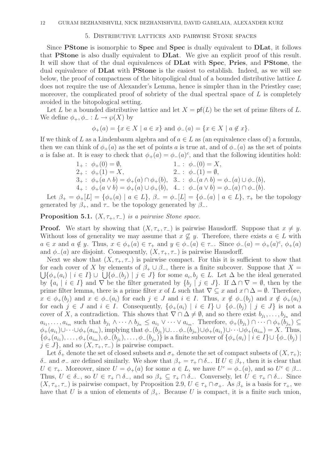## 5. Distributive lattices and pairwise Stone spaces

Since PStone is isomorphic to Spec and Spec is dually equivalent to DLat, it follows that PStone is also dually equivalent to DLat. We give an explicit proof of this result. It will show that of the dual equivalences of DLat with Spec, Pries, and PStone, the dual equivalence of **DLat** with **PStone** is the easiest to establish. Indeed, as we will see below, the proof of compactness of the bitopoligical dual of a bounded distributive lattice L does not require the use of Alexander's Lemma, hence is simpler than in the Priestley case; moreover, the complicated proof of sobriety of the dual spectral space of  $L$  is completely avoided in the bitopological setting.

Let L be a bounded distributive lattice and let  $X = pf(L)$  be the set of prime filters of L. We define  $\phi_+,\phi_-: L \to \varphi(X)$  by

$$
\phi_{+}(a) = \{x \in X \mid a \in x\}
$$
 and  $\phi_{-}(a) = \{x \in X \mid a \notin x\}.$ 

If we think of L as a Lindenbaum algebra and of  $a \in L$  as (an equivalence class of) a formula, then we can think of  $\phi_+(a)$  as the set of points a is true at, and of  $\phi_-(a)$  as the set of points a is false at. It is easy to check that  $\phi_{+}(a) = \phi_{-}(a)^{c}$ , and that the following identities hold:

1<sub>+</sub>: 
$$
\phi_{+}(0) = \emptyset
$$
,  
\n2<sub>+</sub>:  $\phi_{+}(1) = X$ ,  
\n3<sub>+</sub>:  $\phi_{+}(a \wedge b) = \phi_{+}(a) \cap \phi_{+}(b)$ ,  
\n4<sub>+</sub>:  $\phi_{+}(a \vee b) = \phi_{+}(a) \cup \phi_{+}(b)$ ,  
\n4<sub>+</sub>:  $\phi_{+}(a \vee b) = \phi_{+}(a) \cup \phi_{+}(b)$ ,  
\n4<sub>+</sub>:  $\phi_{-}(a) \cap \phi_{-}(a)$ .

Let  $\beta_+ = \phi_+[L] = \{\phi_+(a) \mid a \in L\}, \ \beta_- = \phi_-[L] = \{\phi_-(a) \mid a \in L\}, \ \tau_+$  be the topology generated by  $\beta_+$ , and  $\tau_-$  be the topology generated by  $\beta_-$ .

# **Proposition 5.1.**  $(X, \tau_+, \tau_-)$  is a pairwise Stone space.

**Proof.** We start by showing that  $(X, \tau_+, \tau_-)$  is pairwise Hausdorff. Suppose that  $x \neq y$ . Without loss of generality we may assume that  $x \not\subseteq y$ . Therefore, there exists  $a \in L$  with  $a \in \mathcal{x}$  and  $a \notin \mathcal{y}$ . Thus,  $x \in \phi_+(a) \in \tau_+$  and  $y \in \phi_-(a) \in \tau_-\$ . Since  $\phi_-(a) = \phi_+(a)^c$ ,  $\phi_+(a)$ and  $\phi_-(a)$  are disjoint. Consequently,  $(X, \tau_+, \tau_-)$  is pairwise Hausdorff.

Next we show that  $(X, \tau_+, \tau_-)$  is pairwise compact. For this it is sufficient to show that for each cover of X by elements of  $\beta_+ \cup \beta_-,$  there is a finite subcover. Suppose that  $X =$  $\bigcup \{\phi_+(a_i) \mid i \in I\} \cup \bigcup \{\phi_-(b_j) \mid j \in J\}$  for some  $a_i, b_j \in L$ . Let  $\Delta$  be the ideal generated by  $\{a_i \mid i \in I\}$  and  $\nabla$  be the filter generated by  $\{b_j \mid j \in J\}$ . If  $\Delta \cap \nabla = \emptyset$ , then by the prime filter lemma, there is a prime filter x of L such that  $\nabla \subseteq x$  and  $x \cap \Delta = \emptyset$ . Therefore,  $x \in \phi_+(b_i)$  and  $x \in \phi_-(a_i)$  for each  $j \in J$  and  $i \in I$ . Thus,  $x \notin \phi_-(b_i)$  and  $x \notin \phi_+(a_i)$ for each  $j \in J$  and  $i \in I$ . Consequently,  $\{\phi_+(a_i) \mid i \in I\} \cup \{\phi_-(b_j) \mid j \in J\}$  is not a cover of X, a contradiction. This shows that  $\nabla \cap \Delta \neq \emptyset$ , and so there exist  $b_{j_1}, \ldots, b_{j_n}$  and  $a_{i_1},\ldots,a_{i_m}$  such that  $b_{j_1}\wedge\cdots\wedge b_{j_n}\leq a_{i_1}\vee\cdots\vee a_{i_m}$ . Therefore,  $\phi_+(b_{j_1})\cap\cdots\cap\phi_+(b_{j_n})\subseteq$  $\phi_+(a_{i_1})\cup\cdots\cup\phi_+(a_{i_m})$ , implying that  $\phi_-(b_{j_1})\cup\ldots\phi_-(b_{j_n})\cup\phi_+(a_{i_1})\cup\cdots\cup\phi_+(a_{i_m})=X$ . Thus,  $\{\phi_+(a_{i_1}),\ldots,\phi_+(a_{i_m}),\phi_-(b_{j_1}),\ldots,\phi_-(b_{j_n})\}$  is a finite subcover of  $\{\phi_+(a_i) \mid i \in I\} \cup \{\phi_-(b_j) \mid i \in I\}$  $j \in J$ , and so  $(X, \tau_+, \tau_-)$  is pairwise compact.

Let  $\delta_+$  denote the set of closed subsets and  $\sigma_+$  denote the set of compact subsets of  $(X, \tau_+);$ δ<sup>−</sup> and  $\sigma$ <sup>−</sup> are defined similarly. We show that  $\beta_+ = \tau_+ \cap \delta^-$ . If  $U \in \beta_+$ , then it is clear that  $U \in \tau_+$ . Moreover, since  $U = \phi_+(a)$  for some  $a \in L$ , we have  $U^c = \phi_-(a)$ , and so  $U^c \in \beta_-$ . Thus,  $U \in \delta_-,$  so  $U \in \tau_+ \cap \delta_-,$  and so  $\beta_+ \subseteq \tau_+ \cap \delta_-.$  Conversely, let  $U \in \tau_+ \cap \delta_-.$  Since  $(X, \tau_+, \tau_-)$  is pairwise compact, by Proposition 2.9,  $U \in \tau_+ \cap \sigma_+$ . As  $\beta_+$  is a basis for  $\tau_+$ , we have that U is a union of elements of  $\beta_+$ . Because U is compact, it is a finite such union,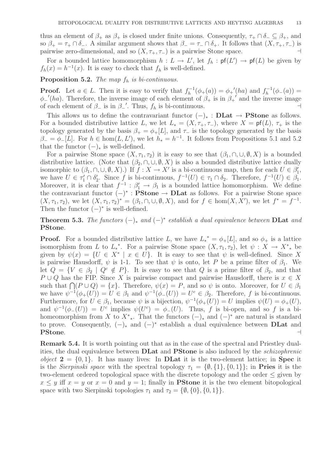thus an element of  $\beta_+$  as  $\beta_+$  is closed under finite unions. Consequently,  $\tau_+ \cap \delta_- \subseteq \beta_+$ , and so  $\beta_+ = \tau_+ \cap \delta_-$ . A similar argument shows that  $\beta_- = \tau_- \cap \delta_+$ . It follows that  $(X, \tau_+, \tau_-)$  is pairwise zero-dimensional, and so  $(X, \tau_+, \tau_-)$  is a pairwise Stone space. ⊣

For a bounded lattice homomorphism  $h: L \to L'$ , let  $f_h: \mathsf{pf}(L') \to \mathsf{pf}(L)$  be given by  $f_h(x) = h^{-1}(x)$ . It is easy to check that  $f_h$  is well-defined.

**Proposition 5.2.** The map  $f_h$  is bi-continuous.

**Proof.** Let  $a \in L$ . Then it is easy to verify that  $f_h^{-1}$  $h_h^{-1}(\phi_+(a)) = \phi_+'(ha)$  and  $f_h^{-1}$  $\int_h^{-1} (\phi_-(a)) =$  $\phi_{-}'(ha)$ . Therefore, the inverse image of each element of  $\beta_{+}$  is in  $\beta_{+}'$  and the inverse image of each element of  $\beta_-$  is in  $\beta_-'$ . Thus,  $f_h$  is bi-continuous.  $\rightarrow$ 

This allows us to define the contravariant functor  $(-)_* : \mathbf{DLat} \to \mathbf{P}$  Stone as follows. For a bounded distributive lattice L, we let  $L_* = (X, \tau_+, \tau_-)$ , where  $X = \mathsf{pf}(L)$ ,  $\tau_+$  is the topology generated by the basis  $\beta_+ = \phi_+[L]$ , and  $\tau_-$  is the topology generated by the basis  $\beta_- = \phi_-[L]$ . For  $h \in \text{hom}(L, L')$ , we let  $h_* = h^{-1}$ . It follows from Propositions 5.1 and 5.2 that the functor  $(-)_*$  is well-defined.

For a pairwise Stone space  $(X, \tau_1, \tau_2)$  it is easy to see that  $(\beta_1, \cap, \cup, \emptyset, X)$  is a bounded distributive lattice. (Note that  $(\beta_2, \cap, \cup, \emptyset, X)$  is also a bounded distributive lattice dually isomorphic to  $(\beta_1, \cap, \cup, \emptyset, X)$ .) If  $f: X \to X'$  is a bi-continuous map, then for each  $U \in \beta'_1$  $\frac{1}{1}$ , we have  $U \in \tau'_1 \cap \delta'_2$ 2. Since f is bi-continuous,  $f^{-1}(U) \in \tau_1 \cap \delta_2$ . Therefore,  $f^{-1}(U) \in \beta_1$ . Moreover, it is clear that  $f^{-1}$ :  $\beta'_1 \rightarrow \beta_1$  is a bounded lattice homomorphism. We define the contravariant functor  $(-)^* : \mathbf{P}$  **Stone**  $\rightarrow \mathbf{DLat}$  as follows. For a pairwise Stone space  $(X, \tau_1, \tau_2)$ , we let  $(X, \tau_1, \tau_2)^* = (\beta_1, \cap, \cup, \emptyset, X)$ , and for  $f \in \text{hom}(X, X')$ , we let  $f^* = f^{-1}$ . Then the functor  $(-)^*$  is well-defined.

**Theorem 5.3.** The functors  $(-)_*$  and  $(-)^*$  establish a dual equivalence between **DLat** and PStone.

**Proof.** For a bounded distributive lattice L, we have  $L_*^* = \phi_+[L]$ , and so  $\phi_+$  is a lattice isomorphism from L to  $L^*$ . For a pairwise Stone space  $(X, \tau_1, \tau_2)$ , let  $\psi : X \to X^*$  be given by  $\psi(x) = \{U \in X^* \mid x \in U\}$ . It is easy to see that  $\psi$  is well-defined. Since X is pairwise Hausdorff,  $\psi$  is 1-1. To see that  $\psi$  is onto, let P be a prime filter of  $\beta_1$ . We let  $Q = \{V \in \beta_2 \mid Q^c \notin P\}$ . It is easy to see that Q is a prime filter of  $\beta_2$ , and that P ∪ Q has the FIP. Since X is pairwise compact and pairwise Hausdorff, there is  $x \in X$ such that  $\bigcap (P \cup Q) = \{x\}$ . Therefore,  $\psi(x) = P$ , and so  $\psi$  is onto. Moreover, for  $U \in \beta_1$ we have  $\psi^{-1}(\phi_+(U)) = U \in \beta_1$  and  $\psi^{-1}(\phi_-(U)) = U^c \in \beta_2$ . Therefore, f is bi-continuous. Furthermore, for  $U \in \beta_1$ , because  $\psi$  is a bijection,  $\psi^{-1}(\phi_+(U)) = U$  implies  $\psi(U) = \phi_+(U)$ , and  $\psi^{-1}(\phi_-(U)) = U^c$  implies  $\psi(U^c) = \phi_-(U)$ . Thus, f is bi-open, and so f is a bihomeomorphism from X to  $X^*$ . That the functors  $(-)_*$  and  $(-)^*$  are natural is standard to prove. Consequently,  $(-)_*$  and  $(-)^*$  establish a dual equivalence between **DLat** and PStone. ⊣

Remark 5.4. It is worth pointing out that as in the case of the spectral and Priestley dualities, the dual equivalence between **DLat** and **PStone** is also induced by the *schizophrenic object*  $2 = \{0, 1\}$ . It has many lives: In **DLat** it is the two-element lattice; in **Spec** it is the Sierpinski space with the spectral topology  $\tau_1 = \{\emptyset, \{1\}, \{0, 1\}\};$  in **Pries** it is the two-element ordered topological space with the discrete topology and the order  $\leq$  given by  $x \leq y$  iff  $x = y$  or  $x = 0$  and  $y = 1$ ; finally in **PStone** it is the two element bitopological space with two Sierpinski topologies  $\tau_1$  and  $\tau_2 = \{\emptyset, \{0\}, \{0,1\}\}.$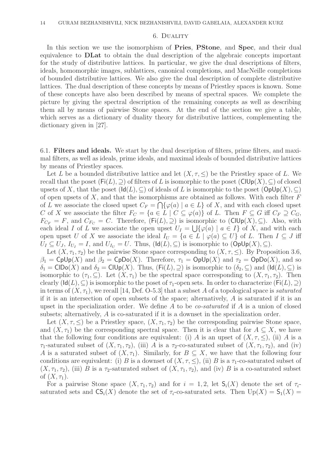### 6. Duality

In this section we use the isomorphism of **Pries**, **PStone**, and **Spec**, and their dual equivalence to DLat to obtain the dual description of the algebraic concepts important for the study of distributive lattices. In particular, we give the dual descriptions of filters, ideals, homomorphic images, sublattices, canonical completions, and MacNeille completions of bounded distributive lattices. We also give the dual description of complete distributive lattices. The dual description of these concepts by means of Priestley spaces is known. Some of these concepts have also been described by means of spectral spaces. We complete the picture by giving the spectral description of the remaining concepts as well as describing them all by means of pairwise Stone spaces. At the end of the section we give a table, which serves as a dictionary of duality theory for distributive lattices, complementing the dictionary given in [27].

6.1. Filters and ideals. We start by the dual description of filters, prime filters, and maximal filters, as well as ideals, prime ideals, and maximal ideals of bounded distributive lattices by means of Priestley spaces.

Let L be a bounded distributive lattice and let  $(X, \tau, \leq)$  be the Priestley space of L. We recall that the poset  $(Fi(L), \supset)$  of filters of L is isomorphic to the poset  $(CIUp(X), \supset)$  of closed upsets of X, that the poset  $(\text{Id}(L), \subseteq)$  of ideals of L is isomorphic to the poset  $(\text{OpUp}(X), \subseteq)$ of open upsets of  $X$ , and that the isomorphisms are obtained as follows. With each filter  $F$ of L we associate the closed upset  $C_F = \bigcap \{ \varphi(a) \mid a \in L \}$  of X, and with each closed upset C of X we associate the filter  $F_C = \{a \in L \mid C \subseteq \varphi(a)\}\$  of L. Then  $F \subseteq G$  iff  $C_F \supseteq C_G$ ,  $F_{C_F} = F$ , and  $C_{F_C} = C$ . Therefore,  $(Fi(L), \supseteq)$  is isomorphic to  $(CIUp(X), \subseteq)$ . Also, with each ideal I of L we associate the open upset  $U_I = \bigcup \{ \varphi(a) \mid a \in I \}$  of X, and with each open upset U of X we associate the ideal  $I_U = \{a \in L \mid \varphi(a) \subseteq U\}$  of L. Then  $I \subseteq J$  iff  $U_I \subseteq U_J$ ,  $I_{U_I} = I$ , and  $U_{I_{U}} = U$ . Thus,  $(\text{Id}(L), \subseteq)$  is isomorphic to  $(\text{OpUp}(X), \subseteq)$ .

Let  $(X, \tau_1, \tau_2)$  be the pairwise Stone space corresponding to  $(X, \tau, \le)$ . By Proposition 3.6,  $\beta_1 = \text{Cplp}(X)$  and  $\beta_2 = \text{Cplo}(X)$ . Therefore,  $\tau_1 = \text{Oplp}(X)$  and  $\tau_2 = \text{Oplo}(X)$ , and so  $\delta_1 = \text{CIDo}(X)$  and  $\delta_2 = \text{CIDp}(X)$ . Thus,  $(\text{Fi}(L), \supseteq)$  is isomorphic to  $(\delta_2, \subseteq)$  and  $(\text{Id}(L), \subseteq)$  is isomorphic to  $(\tau_1, \subseteq)$ . Let  $(X, \tau_1)$  be the spectral space corresponding to  $(X, \tau_1, \tau_2)$ . Then clearly  $(\mathsf{Id}(L), \subseteq)$  is isomorphic to the poset of  $\tau_1$ -open sets. In order to characterize  $(\mathsf{Fi}(L), \supseteq)$ in terms of  $(X, \tau_1)$ , we recall [14, Def. O-5.3] that a subset A of a topological space is saturated if it is an intersection of open subsets of the space; alternatively,  $A$  is saturated if it is an upset in the specialization order. We define A to be *co-saturated* if A is a union of closed subsets; alternatively, A is co-saturated if it is a downset in the specialization order.

Let  $(X, \tau, \leq)$  be a Priestley space,  $(X, \tau_1, \tau_2)$  be the corresponding pairwise Stone space, and  $(X, \tau_1)$  be the corresponding spectral space. Then it is clear that for  $A \subseteq X$ , we have that the following four conditions are equivalent: (i) A is an upset of  $(X, \tau, \leq)$ , (ii) A is a  $\tau_1$ -saturated subset of  $(X, \tau_1, \tau_2)$ , (iii) A is a  $\tau_2$ -co-saturated subset of  $(X, \tau_1, \tau_2)$ , and (iv) A is a saturated subset of  $(X, \tau_1)$ . Similarly, for  $B \subseteq X$ , we have that the following four conditions are equivalent: (i) B is a downset of  $(X, \tau, \leq)$ , (ii) B is a  $\tau_1$ -co-saturated subset of  $(X, \tau_1, \tau_2)$ , (iii) B is a  $\tau_2$ -saturated subset of  $(X, \tau_1, \tau_2)$ , and (iv) B is a co-saturated subset of  $(X, \tau_1)$ .

For a pairwise Stone space  $(X, \tau_1, \tau_2)$  and for  $i = 1, 2$ , let  $S_i(X)$  denote the set of  $\tau_i$ saturated sets and  $\mathsf{CS}_i(X)$  denote the set of  $\tau_i$ -co-saturated sets. Then  $\mathrm{Up}(X) = \mathsf{S}_1(X) =$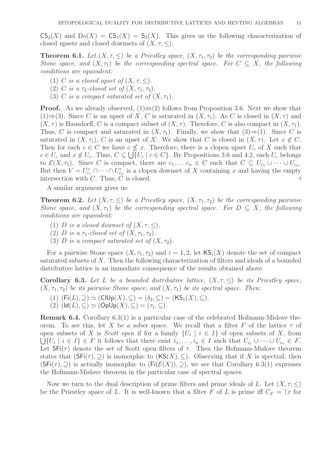$CS_2(X)$  and  $Do(X) = CS_1(X) = S_2(X)$ . This gives us the following characterization of closed upsets and closed downsets of  $(X, \tau, \leq)$ .

**Theorem 6.1.** Let  $(X, \tau, \leq)$  be a Priestley space,  $(X, \tau_1, \tau_2)$  be the corresponding pairwise Stone space, and  $(X, \tau_1)$  be the corresponding spectral space. For  $C \subseteq X$ , the following conditions are equivalent:

- (1) C is a closed upset of  $(X, \tau, \leq)$ .
- (2) C is a  $\tau_2$ -closed set of  $(X, \tau_1, \tau_2)$ .
- (3) C is a compact saturated set of  $(X, \tau_1)$ .

**Proof.** As we already observed,  $(1) \Leftrightarrow (2)$  follows from Proposition 3.6. Next we show that (1)⇒(3). Since C is an upset of X, C is saturated in  $(X, \tau_1)$ . As C is closed in  $(X, \tau)$  and  $(X, \tau)$  is Hausdorff, C is a compact subset of  $(X, \tau)$ . Therefore, C is also compact in  $(X, \tau)$ . Thus, C is compact and saturated in  $(X, \tau_1)$ . Finally, we show that  $(3) \Rightarrow (1)$ . Since C is saturated in  $(X, \tau_1)$ , C is an upset of X. We show that C is closed in  $(X, \tau)$ . Let  $x \notin C$ . Then for each  $c \in C$  we have  $c \nleq x$ . Therefore, there is a clopen upset  $U_c$  of X such that  $c \in U_c$  and  $x \notin U_c$ . Thus,  $C \subseteq \bigcup \{U_c \mid c \in C\}$ . By Propositions 3.6 and 4.2, each  $U_c$  belongs to  $\mathcal{E}(X,\tau_1)$ . Since C is compact, there are  $c_1,\ldots c_n \in C$  such that  $C \subseteq U_{c_1} \cup \cdots \cup U_{c_n}$ . But then  $V = U_{c_1}^c \cap \cdots \cap U_{c_n}^c$  is a clopen downset of X containing x and having the empty intersection with  $\overline{C}$ . Thus,  $\overline{C}$  is closed.  $\overline{C}$ 

A similar argument gives us:

**Theorem 6.2.** Let  $(X, \tau, \leq)$  be a Priestley space,  $(X, \tau_1, \tau_2)$  be the corresponding pairwise Stone space, and  $(X, \tau_1)$  be the corresponding spectral space. For  $D \subseteq X$ , the following conditions are equivalent:

- (1) D is a closed downset of  $(X, \tau, \leq)$ .
- (2) D is a  $\tau_1$ -closed set of  $(X, \tau_1, \tau_2)$ .
- (3) D is a compact saturated set of  $(X, \tau_2)$ .

For a pairwise Stone space  $(X, \tau_1, \tau_2)$  and  $i = 1, 2$ , let  $\mathsf{KS}_i(X)$  denote the set of compact saturated subsets of X. Then the following characterization of filters and ideals of a bounded distributive lattice is an immediate consequence of the results obtained above.

**Corollary 6.3.** Let L be a bounded distributive lattice,  $(X, \tau, \leq)$  be its Priestley space,  $(X, \tau_1, \tau_2)$  be its pairwise Stone space, and  $(X, \tau_1)$  be its spectral space. Then:

- (1)  $(Fi(L), \supseteq) \simeq (ClUp(X), \subseteq) = (\delta_2, \subseteq) = (KS_1(X), \subseteq).$
- (2)  $(\text{Id}(L), \subseteq) \simeq (\text{OpUp}(X), \subseteq) = (\tau_1, \subseteq).$

Remark 6.4. Corollary 6.3(1) is a particular case of the celebrated Hofmann-Mislove theorem. To see this, let X be a sober space. We recall that a filter F of the lattice  $\tau$  of open subsets of X is *Scott open* if for a family  $\{U_i \mid i \in I\}$  of open subsets of X, from  $\bigcup \{U_i \mid i \in I\} \in F$  it follows that there exist  $i_1, \ldots, i_n \in I$  such that  $U_{i_1} \cup \cdots \cup U_{i_n} \in F$ . Let  $SFi(\tau)$  denote the set of Scott open filters of  $\tau$ . Then the Hofmann-Mislove theorem states that  $(\mathsf{SFi}(\tau), \supseteq)$  is isomorphic to  $(\mathsf{KS}(X), \subseteq)$ . Observing that if X is spectral, then  $(SFi(\tau), \supset)$  is actually isomorphic to  $(Fi(\mathcal{E}(X)), \supset)$ , we see that Corollary 6.3(1) expresses the Hofmann-Mislove theorem in the particular case of spectral spaces.

Now we turn to the dual description of prime filters and prime ideals of L. Let  $(X, \tau, \leq)$ be the Priestley space of L. It is well-known that a filter F of L is prime iff  $C_F = \uparrow x$  for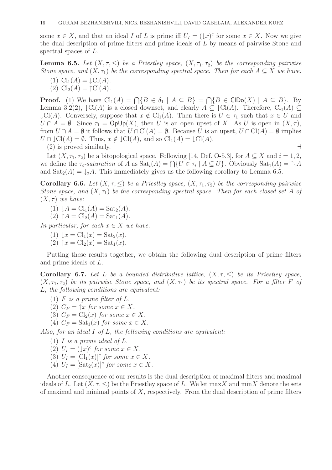some  $x \in X$ , and that an ideal I of L is prime iff  $U_I = (\downarrow x)^c$  for some  $x \in X$ . Now we give the dual description of prime filters and prime ideals of L by means of pairwise Stone and spectral spaces of L.

**Lemma 6.5.** Let  $(X, \tau, \leq)$  be a Priestley space,  $(X, \tau_1, \tau_2)$  be the corresponding pairwise Stone space, and  $(X, \tau_1)$  be the corresponding spectral space. Then for each  $A \subseteq X$  we have:

- (1)  $Cl_1(A) = \text{ICl}(A)$ .
- (2)  $\text{Cl}_2(A) = \uparrow \text{Cl}(A)$ .

**Proof.** (1) We have  $\text{Cl}_1(A) = \bigcap \{B \in \delta_1 \mid A \subseteq B\} = \bigcap \{B \in \text{CIDo}(X) \mid A \subseteq B\}$ . By Lemma 3.2(2),  $\mathcal{L}Cl(A)$  is a closed downset, and clearly  $A \subseteq \mathcal{L}Cl(A)$ . Therefore,  $Cl_1(A) \subseteq$  $\downarrow$ Cl(A). Conversely, suppose that  $x \notin Cl_1(A)$ . Then there is  $U \in \tau_1$  such that  $x \in U$  and  $U \cap A = \emptyset$ . Since  $\tau_1 = \mathsf{OpUp}(X)$ , then U is an open upset of X. As U is open in  $(X, \tau)$ , from  $U \cap A = \emptyset$  it follows that  $U \cap \text{Cl}(A) = \emptyset$ . Because U is an upset,  $U \cap \text{Cl}(A) = \emptyset$  implies  $U \cap \text{LCI}(A) = \emptyset$ . Thus,  $x \notin \text{LCI}(A)$ , and so  $\text{Cl}_1(A) = \text{LCI}(A)$ .

 $(2)$  is proved similarly.  $\rightarrow$ 

Let  $(X, \tau_1, \tau_2)$  be a bitopological space. Following [14, Def. O-5.3], for  $A \subset X$  and  $i = 1, 2$ , we define the  $\tau_i$ -saturation of A as  $\text{Sat}_i(A) = \bigcap \{U \in \tau_i \mid A \subseteq U\}$ . Obviously  $\text{Sat}_1(A) = \uparrow_1 A$ and  $\text{Sat}_2(A) = \downarrow_2 A$ . This immediately gives us the following corollary to Lemma 6.5.

**Corollary 6.6.** Let  $(X, \tau, \leq)$  be a Priestley space,  $(X, \tau_1, \tau_2)$  be the corresponding pairwise Stone space, and  $(X, \tau_1)$  be the corresponding spectral space. Then for each closed set A of  $(X, \tau)$  we have:

- (1)  $\downarrow A = Cl_1(A) = Sat_2(A)$ .
- (2)  $\uparrow A = Cl_2(A) = Sat_1(A)$ .

In particular, for each  $x \in X$  we have:

- (1)  $\downarrow x = Cl_1(x) = Sat_2(x)$ .
- $(2)$   $\uparrow x = Cl_2(x) = Sat_1(x)$ .

Putting these results together, we obtain the following dual description of prime filters and prime ideals of L.

Corollary 6.7. Let L be a bounded distributive lattice,  $(X, \tau, \leq)$  be its Priestley space,  $(X, \tau_1, \tau_2)$  be its pairwise Stone space, and  $(X, \tau_1)$  be its spectral space. For a filter F of L, the following conditions are equivalent:

- (1)  $F$  is a prime filter of  $L$ .
- (2)  $C_F = \uparrow x$  for some  $x \in X$ .
- (3)  $C_F = \text{Cl}_2(x)$  for some  $x \in X$ .
- (4)  $C_F = \text{Sat}_1(x)$  for some  $x \in X$ .

Also, for an ideal I of L, the following conditions are equivalent:

- $(1)$  *I* is a prime ideal of L.
- (2)  $U_I = (\downarrow x)^c$  for some  $x \in X$ .
- (3)  $U_I = [\mathrm{Cl}_1(x)]^c$  for some  $x \in X$ .
- (4)  $U_I = [\text{Sat}_2(x)]^c$  for some  $x \in X$ .

Another consequence of our results is the dual description of maximal filters and maximal ideals of L. Let  $(X, \tau, \leq)$  be the Priestley space of L. We let max X and minX denote the sets of maximal and minimal points of  $X$ , respectively. From the dual description of prime filters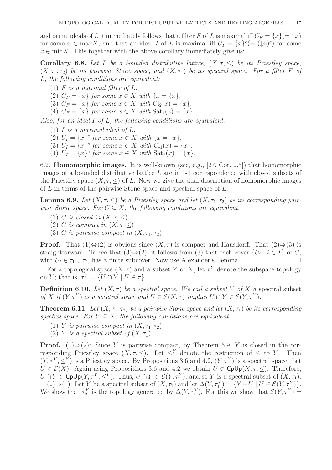and prime ideals of L it immediately follows that a filter F of L is maximal iff  $C_F = \{x\}$   $(=\uparrow x)$ for some  $x \in \max X$ , and that an ideal I of L is maximal iff  $U_I = \{x\}^c (= (\downarrow x)^c)$  for some  $x \in \min X$ . This together with the above corollary immediately give us:

Corollary 6.8. Let L be a bounded distributive lattice,  $(X, \tau, \leq)$  be its Priestley space,  $(X, \tau_1, \tau_2)$  be its pairwise Stone space, and  $(X, \tau_1)$  be its spectral space. For a filter F of L, the following conditions are equivalent:

(1)  $F$  is a maximal filter of  $L$ .

(2)  $C_F = \{x\}$  for some  $x \in X$  with  $\uparrow x = \{x\}.$ 

- (3)  $C_F = \{x\}$  for some  $x \in X$  with  $\text{Cl}_2(x) = \{x\}.$
- (4)  $C_F = \{x\}$  for some  $x \in X$  with  $\text{Sat}_1(x) = \{x\}.$

Also, for an ideal I of L, the following conditions are equivalent:

- (1)  $I$  is a maximal ideal of  $L$ .
- (2)  $U_I = \{x\}^c$  for some  $x \in X$  with  $\downarrow x = \{x\}.$
- (3)  $U_I = \{x\}^c$  for some  $x \in X$  with  $Cl_1(x) = \{x\}.$
- (4)  $U_I = \{x\}^c$  for some  $x \in X$  with  $\text{Sat}_2(x) = \{x\}.$

6.2. Homomorphic images. It is well-known (see, e.g., [27, Cor. 2.5]) that homomorphic images of a bounded distributive lattice  $L$  are in 1-1 correspondence with closed subsets of the Priestley space  $(X, \tau, \leq)$  of L. Now we give the dual description of homomorphic images of L in terms of the pairwise Stone space and spectral space of L.

**Lemma 6.9.** Let  $(X, \tau, \leq)$  be a Priestley space and let  $(X, \tau_1, \tau_2)$  be its corresponding pairwise Stone space. For  $C \subseteq X$ , the following conditions are equivalent.

- (1) C is closed in  $(X, \tau, \leq)$ .
- (2) C is compact in  $(X, \tau, \leq)$ .
- (3) C is pairwise compact in  $(X, \tau_1, \tau_2)$ .

**Proof.** That  $(1) \Leftrightarrow (2)$  is obvious since  $(X, \tau)$  is compact and Hausdorff. That  $(2) \Rightarrow (3)$  is straightforward. To see that  $(3) \Rightarrow (2)$ , it follows from  $(3)$  that each cover  $\{U_i \mid i \in I\}$  of C, with  $U_i \in \tau_1 \cup \tau_2$ , has a finite subcover. Now use Alexander's Lemma. ⊣

For a topological space  $(X, \tau)$  and a subset Y of X, let  $\tau^Y$  denote the subspace topology on Y; that is,  $\tau^Y = \{ U \cap Y \mid U \in \tau \}.$ 

**Definition 6.10.** Let  $(X, \tau)$  be a spectral space. We call a subset Y of X a spectral subset of X if  $(Y, \tau^Y)$  is a spectral space and  $U \in \mathcal{E}(X, \tau)$  implies  $U \cap Y \in \mathcal{E}(Y, \tau^Y)$ .

**Theorem 6.11.** Let  $(X, \tau_1, \tau_2)$  be a pairwise Stone space and let  $(X, \tau_1)$  be its corresponding spectral space. For  $Y \subseteq X$ , the following conditions are equivalent.

- (1) Y is pairwise compact in  $(X, \tau_1, \tau_2)$ .
- (2) Y is a spectral subset of  $(X, \tau_1)$ .

**Proof.** (1)⇒(2): Since Y is pairwise compact, by Theorem 6.9, Y is closed in the corresponding Priestley space  $(X, \tau, \leq)$ . Let  $\leq^Y$  denote the restriction of  $\leq$  to Y. Then  $(Y, \tau^Y, \leq^Y)$  is a Priestley space. By Propositions 3.6 and 4.2,  $(Y, \tau^Y)$  is a spectral space. Let  $U \in \mathcal{E}(X)$ . Again using Propositions 3.6 and 4.2 we obtain  $U \in \text{Cplp}(X, \tau, \leq)$ . Therefore,  $U \cap Y \in \mathsf{Cplp}(Y, \tau^Y, \leq^Y)$ . Thus,  $U \cap Y \in \mathcal{E}(Y, \tau^Y_1)$ , and so Y is a spectral subset of  $(X, \tau_1)$ .

(2)⇒(1): Let Y be a spectral subset of  $(X, \tau_1)$  and let  $\Delta(Y, \tau_1^Y) = \{Y - U \mid U \in \mathcal{E}(Y, \tau_1^Y)\}.$ We show that  $\tau_2^Y$  is the topology generated by  $\Delta(Y, \tau_1^Y)$ . For this we show that  $\mathcal{E}(Y, \tau_1^Y)$  =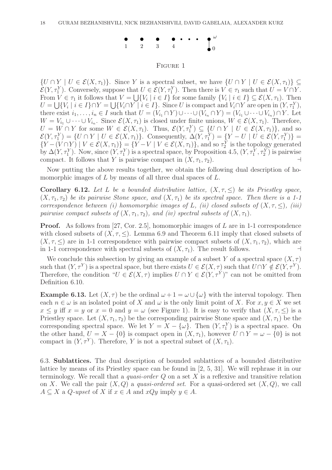

## Figure 1

 $\{U \cap Y \mid U \in \mathcal{E}(X, \tau_1)\}\$ . Since Y is a spectral subset, we have  $\{U \cap Y \mid U \in \mathcal{E}(X, \tau_1)\}\subseteq$  $\mathcal{E}(Y, \tau_1^Y)$ . Conversely, suppose that  $U \in \mathcal{E}(Y, \tau_1^Y)$ . Then there is  $V \in \tau_1$  such that  $U = V \cap Y$ . From  $V \in \tau_1$  it follows that  $V = \bigcup \{V_i \mid i \in I\}$  for some family  $\{V_i \mid i \in I\} \subseteq \mathcal{E}(X, \tau_1)$ . Then  $U = \bigcup \{V_i \mid i \in I\} \cap Y = \bigcup \{V_i \cap Y \mid i \in I\}.$  Since U is compact and  $V_i \cap Y$  are open in  $(Y, \tau_1^Y),$ there exist  $i_1, \ldots, i_n \in I$  such that  $U = (V_{i_1} \cap Y) \cup \cdots \cup (V_{i_n} \cap Y) = (V_{i_1} \cup \cdots \cup V_{i_n}) \cap Y$ . Let  $W = V_{i_1} \cup \cdots \cup V_{i_n}$ . Since  $\mathcal{E}(X, \tau_1)$  is closed under finite unions,  $W \in \mathcal{E}(X, \tau_1)$ . Therefore,  $U = W \cap Y$  for some  $W \in \mathcal{E}(X, \tau_1)$ . Thus,  $\mathcal{E}(Y, \tau_1^Y) \subseteq \{U \cap Y \mid U \in \mathcal{E}(X, \tau_1)\}$ , and so  $\mathcal{E}(Y,\tau_1^Y) = \{U \cap Y \mid U \in \mathcal{E}(X,\tau_1)\}\.$  Consequently,  $\Delta(Y,\tau_1^Y) = \{Y - U \mid U \in \mathcal{E}(Y,\tau_1^Y)\}\$  ${Y - (V \cap Y) \mid V \in \mathcal{E}(X, \tau_1)} = {Y - V \mid V \in \mathcal{E}(X, \tau_1)},$  and so  $\tau_2^Y$  is the topology generated by  $\Delta(Y, \tau_1^Y)$ . Now, since  $(Y, \tau_1^Y)$  is a spectral space, by Proposition 4.5,  $(Y, \tau_1^Y, \tau_2^Y)$  is pairwise compact. It follows that Y is pairwise compact in  $(X, \tau_1, \tau_2)$ .

Now putting the above results together, we obtain the following dual description of homomorphic images of  $L$  by means of all three dual spaces of  $L$ .

Corollary 6.12. Let L be a bounded distributive lattice,  $(X, \tau, \leq)$  be its Priestley space,  $(X, \tau_1, \tau_2)$  be its pairwise Stone space, and  $(X, \tau_1)$  be its spectral space. Then there is a 1-1 correspondence between (i) homomorphic images of L, (ii) closed subsets of  $(X, \tau, \leq)$ , (iii) pairwise compact subsets of  $(X, \tau_1, \tau_2)$ , and *(iv)* spectral subsets of  $(X, \tau_1)$ .

**Proof.** As follows from [27, Cor. 2.5], homomorphic images of L are in 1-1 correspondence with closed subsets of  $(X, \tau, \leq)$ . Lemma 6.9 and Theorem 6.11 imply that closed subsets of  $(X, \tau, \leq)$  are in 1-1 correspondence with pairwise compact subsets of  $(X, \tau_1, \tau_2)$ , which are in 1-1 correspondence with spectral subsets of  $(X, \tau_1)$ . The result follows. ⊣

We conclude this subsection by giving an example of a subset Y of a spectral space  $(X, \tau)$ such that  $(Y, \tau^Y)$  is a spectral space, but there exists  $U \in \mathcal{E}(X, \tau)$  such that  $U \cap Y \notin \mathcal{E}(Y, \tau^Y)$ . Therefore, the condition " $U \in \mathcal{E}(X, \tau)$  implies  $U \cap Y \in \mathcal{E}(Y, \tau^Y)$ " can not be omitted from Definition 6.10.

**Example 6.13.** Let  $(X, \tau)$  be the ordinal  $\omega + 1 = \omega \cup {\omega}$  with the interval topology. Then each  $n \in \omega$  is an isolated point of X and  $\omega$  is the only limit point of X. For  $x, y \in X$  we set  $x \leq y$  iff  $x = y$  or  $x = 0$  and  $y = \omega$  (see Figure 1). It is easy to verify that  $(X, \tau, \leq)$  is a Priestley space. Let  $(X, \tau_1, \tau_2)$  be the corresponding pairwise Stone space and  $(X, \tau_1)$  be the corresponding spectral space. We let  $Y = X - \{\omega\}$ . Then  $(Y, \tau_1^Y)$  is a spectral space. On the other hand,  $U = X - \{0\}$  is compact open in  $(X, \tau_1)$ , however  $U \cap Y = \omega - \{0\}$  is not compact in  $(Y, \tau^Y)$ . Therefore, Y is not a spectral subset of  $(X, \tau_1)$ .

6.3. Sublattices. The dual description of bounded sublattices of a bounded distributive lattice by means of its Priestley space can be found in [2, 5, 31]. We will rephrase it in our terminology. We recall that a *quasi-order Q* on a set X is a reflexive and transitive relation on X. We call the pair  $(X, Q)$  a quasi-ordered set. For a quasi-ordered set  $(X, Q)$ , we call  $A \subseteq X$  a *Q-upset* of X if  $x \in A$  and  $xQy$  imply  $y \in A$ .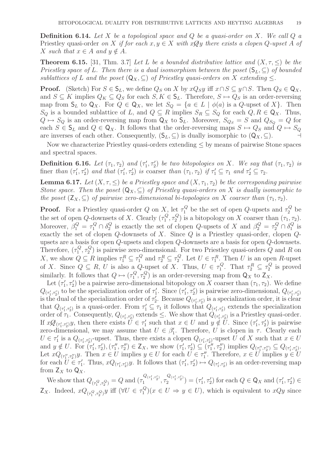**Definition 6.14.** Let X be a topological space and Q be a quasi-order on X. We call  $Q$  a Priestley quasi-order on X if for each  $x, y \in X$  with  $x \mathcal{Q}y$  there exists a clopen Q-upset A of X such that  $x \in A$  and  $y \notin A$ .

**Theorem 6.15.** [31, Thm. 3.7] Let L be a bounded distributive lattice and  $(X, \tau, \leq)$  be the Priestley space of L. Then there is a dual isomorphism between the poset  $(S_L, \subset)$  of bounded sublattices of L and the poset  $(Q_X, \subset)$  of Priestley quasi-orders on X extending  $\leq$ .

**Proof.** (Sketch) For  $S \in \mathsf{S}_L$ , we define  $Q_S$  on X by  $xQ_Sy$  iff  $x \cap S \subseteq y \cap S$ . Then  $Q_S \in \mathsf{Q}_X$ , and  $S \subseteq K$  implies  $Q_K \subseteq Q_S$  for each  $S, K \in \mathsf{S}_L$ . Therefore,  $S \mapsto Q_S$  is an order-reversing map from  $\mathsf{S}_L$  to  $\mathsf{Q}_X$ . For  $Q \in \mathsf{Q}_X$ , we let  $S_Q = \{a \in L \mid \phi(a) \text{ is a } Q\text{-upset of } X\}$ . Then  $S_Q$  is a bounded sublattice of L, and  $Q \subseteq R$  implies  $S_R \subseteq S_Q$  for each  $Q, R \in \mathsf{Q}_X$ . Thus,  $Q \mapsto S_Q$  is an order-reversing map from  $\mathsf{Q}_X$  to  $\mathsf{S}_L$ . Moreover,  $S_{Q_S} = S$  and  $Q_{S_Q} = Q$  for each  $S \in \mathsf{S}_L$  and  $Q \in \mathsf{Q}_X$ . It follows that the order-reversing maps  $S \mapsto Q_S$  and  $Q \mapsto S_Q$ are inverses of each other. Consequently,  $(S_L, \subseteq)$  is dually isomorphic to  $(Q_X, \subseteq)$ .

Now we characterize Priestley quasi-orders extending ≤ by means of pairwise Stone spaces and spectral spaces.

Definition 6.16. Let  $(\tau_1, \tau_2)$  and  $(\tau_1')$  $(t_1', \tau_2')$  be two bitopologies on X. We say that  $(\tau_1, \tau_2)$  is finer than  $(\tau_1)$  $\tau'_1, \tau'_2$ ) and that  $(\tau'_1)$  $\tau'_1, \tau'_2$ ) is coarser than  $(\tau_1, \tau_2)$  if  $\tau'_1 \subseteq \tau_1$  and  $\tau'_2 \subseteq \tau_2$ .

**Lemma 6.17.** Let  $(X, \tau, \leq)$  be a Priestley space and  $(X, \tau_1, \tau_2)$  be the corresponding pairwise Stone space. Then the poset  $(Q_X, \subseteq)$  of Priestley quasi-orders on X is dually isomorphic to the poset  $(Z_X, \subseteq)$  of pairwise zero-dimensional bi-topologies on X coarser than  $(\tau_1, \tau_2)$ .

**Proof.** For a Priestley quasi-order Q on X, let  $\tau_1^Q$  be the set of open Q-upsets and  $\tau_2^Q$  be the set of open Q-downsets of X. Clearly  $(\tau_1^Q)$  $^{1Q}_{1}, \tau^Q_2$  $\mathcal{L}^{Q}_{2}$ ) is a bitopology on X coarser than  $(\tau_1, \tau_2)$ . Moreover,  $\beta_1^Q = \tau_1^Q \cap \delta_2^Q$  $Q_2^Q$  is exactly the set of clopen Q-upsets of X and  $\beta_2^Q = \tau_2^Q \cap \delta_1^Q$  $\frac{Q}{1}$  is exactly the set of clopen  $Q$ -downsets of  $X$ . Since  $Q$  is a Priestley quasi-order, clopen  $Q$ upsets are a basis for open Q-upsets and clopen Q-downsets are a basis for open Q-downsets. Therefore,  $(\tau_1^Q)$  $^{1Q}_{1}, \tau^Q_2$  $\binom{Q}{2}$  is pairwise zero-dimensional. For two Priestley quasi-orders Q and R on X, we show  $Q \subseteq R$  implies  $\tau_1^R \subseteq \tau_1^Q$  and  $\tau_2^R \subseteq \tau_2^Q$ <sup>2</sup>. Let  $U \in \tau_1^R$ . Then U is an open R-upset of X. Since  $Q \subseteq R$ , U is also a Q-upset of X. Thus,  $U \in \tau_1^Q$ <sup>2</sup>. That  $\tau_2^R \subseteq \tau_2^Q$  $2^{\mathcal{Q}}$  is proved similarly. It follows that  $Q \mapsto (\tau_1^Q)$  $^{Q}_{1}, \tau^{Q}_{2}$  $\mathbb{R}^Q_2$ ) is an order-reversing map from  $\mathsf{Q}_X$  to  $\mathsf{Z}_X$ .

Let  $(\tau_1)$  $(1, \tau_1')$  be a pairwise zero-dimensional bitopology on X coarser than  $(\tau_1, \tau_2)$ . We define  $Q_{(\tau_1',\tau_2')}$  to be the specialization order of  $\tau_1'$  $\frac{1}{1}$ . Since  $(\tau_1)$  $T_1', \tau_2'$  is pairwise zero-dimensional,  $Q_{(\tau_1', \tau_2')}$ is the dual of the specialization order of  $\tau_2'$ <sup>'</sup><sub>2</sub>. Because  $Q_{(\tau'_1, \tau'_2)}$  is a specialization order, it is clear that  $Q_{(\tau_1',\tau_2')}$  is a quasi-order. From  $\tau_1' \subseteq \tau_1$  it follows that  $Q_{(\tau_1',\tau_2')}$  extends the specialization order of  $\tau_1$ . Consequently,  $Q_{(\tau_1', \tau_2')}$  extends  $\leq$ . We show that  $Q_{(\tau_1', \tau_2')}$  is a Priestley quasi-order. If  $x\mathscr{A}_{(\tau'_1,\tau'_2)}y$ , then there exists  $U \in \tau'_1$ <sup>1</sup><sub>1</sub> such that  $x \in U$  and  $y \notin U$ . Since  $(\tau_1')$  $\left( \frac{1}{1}, \tau_2' \right)$  is pairwise zero-dimensional, we may assume that  $U \in \beta'_1$ '<sub>1</sub>. Therefore, U is clopen in  $\tau$ . Clearly each  $U \in \tau_1'$ <sup>'</sup><sub>1</sub> is a  $Q_{(\tau_1', \tau_2')}$ -upset. Thus, there exists a clopen  $Q_{(\tau_1', \tau_2')}$ -upset U of X such that  $x \in U$ and  $y \notin U$ . For  $(\tau_1')^2$  $(\tau_1', \tau_2'), (\tau_1''$  $\left(\tau''_1, \tau''_2\right) \in \mathsf{Z}_X$ , we show  $\left(\tau'_1\right)$  $\tau'_1, \tau'_2) \subseteq (\tau''_1)$  $Q_{(\tau_1'',\tau_2'')} \text{ implies } Q_{(\tau_1'',\tau_2'')} \subseteq Q_{(\tau_1',\tau_2')}$ . Let  $xQ_{(\tau''_1, \tau''_2)}y$ . Then  $x \in U$  implies  $y \in U$  for each  $U \in \tau''_1$  $y''$ . Therefore,  $x \in U$  implies  $y \in U$ for each  $U \in \tau_1'$ '<sub>1</sub>. Thus,  $xQ_{(\tau'_1,\tau'_2)}y$ . It follows that  $(\tau'_1)$  $Q_{(\tau_1', \tau_2')}$  is an order-reversing map from  $Z_X$  to  $Q_X$ .

We show that  $Q_{(\tau_1^Q, \tau_2^Q)} = Q$  and  $(\tau_1^{Q_{(\tau_1', \tau_2')}})$  $Z_X$ . Indeed,  $xQ_{(\tau_1^Q, \tau_2^Q)}y$  iff  $(\forall U \in \tau_1^Q)$  $\frac{Q_{(\tau_1',\tau_2')}}{1},\tau_2^{Q_{(\tau_1',\tau_2')}}$  $\binom{Q_{(\tau'_1, \tau'_2)}}{2} = (\tau'_1)$  $\tau'_1, \tau'_2$ ) for each  $Q \in \mathsf{Q}_X$  and  $(\tau'_1)$  $_1', \tau_2') \in$  $\binom{Q}{1}(x \in U \Rightarrow y \in U)$ , which is equivalent to  $xQy$  since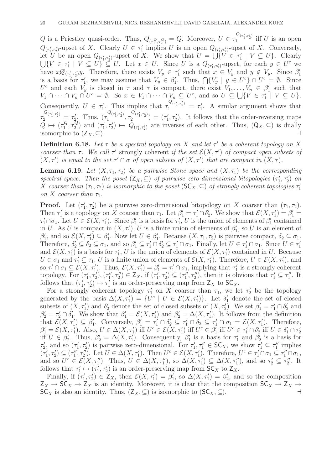Q is a Priestley quasi-order. Thus,  $Q_{(\tau_1^Q, \tau_2^Q)} = Q$ . Moreover,  $U \in \tau_1^{Q_{(\tau_1^{\prime}, \tau_2^{\prime})}}$  $i_1^{(n_1, n_2)}$  iff U is an open  $Q_{(\tau'_1, \tau'_2)}$ -upset of X. Clearly  $U \in \tau'_1$  $\frac{1}{1}$  implies U is an open  $Q_{(\tau_1', \tau_2')}$ -upset of X. Conversely, let U be an open  $Q_{(\tau_1', \tau_2')}$ -upset of X. We show that  $U = \bigcup_{i=1}^{n} V_i \in \tau_1'$  $\}'_1 \mid V \subseteq U$ . Clearly  $\bigcup \{V \in \tau'_1$  $Q'_1 \mid V \subseteq U$   $\subseteq U$ . Let  $x \in U$ . Since U is a  $Q_{(\tau'_1, \tau'_2)}$ -upset, for each  $y \in U^c$  we have  $x\mathscr{A}_{(\tau'_1,\tau'_2)}y$ . Therefore, there exists  $V_y \in \tau'_1$  $y'_1$  such that  $x \in V_y$  and  $y \notin V_y$ . Since  $\beta'_1$ 1 is a basis for  $\tau_1'$ '<sub>1</sub>, we may assume that  $V_y \in \beta'_1$ ''<sub>1</sub>. Thus,  $\bigcap \{V_y \mid y \in U^c\} \cap U^c = \emptyset$ . Since U<sup>c</sup> and each  $V_y$  is closed in  $\tau$  and  $\tau$  is compact, there exist  $V_1, \ldots, V_n \in \beta'_1$  such that U and each  $V_y$  is closed in f and f is compact, there exist  $V_1, \ldots, V_n \in P_1$ <br>  $V_1 \cap \cdots \cap V_n \cap U^c = \emptyset$ . So  $x \in V_1 \cap \cdots \cap V_n \subseteq U^c$ , and so  $U \subseteq \bigcup \{V \in \tau'_1\}$  $'_{1}$  |  $V \subseteq U$  }. Consequently,  $U \in \tau_1'$ ''
<sup>Q</sup>( $\tau'_1$ , $\tau'_2$ ) =  $\tau'_1$  $\frac{1}{1}$ . A similar argument shows that  $\tau_2^{Q_{(\tau_1',\tau_2')}} = \tau_2'$  $\frac{Q}{2}$ . Thus,  $(\tau_1^{Q_{(\tau_1',\tau_2')}})$  $\frac{Q_{(\tau_1',\tau_2')}}{1},\tau_2^{Q_{(\tau_1',\tau_2')}}$  $\binom{Q(\tau'_1,\tau'_2)}{2} = (\tau'_1)$  $(1, \tau_2')$ . It follows that the order-reversing maps  $Q \mapsto (\tau_1^Q)$  $^{1Q}_{1}, \tau^Q_2$  $\begin{pmatrix} \overline{Q} \\ 2 \end{pmatrix}$  and  $(\tau_1)$  $Q_{(\tau_1',\tau_2')}$  are inverses of each other. Thus,  $(Q_X,\subseteq)$  is dually isomorphic to  $(Z_X, \subseteq)$ . ⊣

**Definition 6.18.** Let  $\tau$  be a spectral topology on X and let  $\tau'$  be a coherent topology on X coarser than  $\tau$ . We call  $\tau'$  strongly coherent if the set  $\mathcal{E}(X, \tau')$  of compact open subsets of  $(X, \tau')$  is equal to the set  $\tau' \cap \sigma$  of open subsets of  $(X, \tau')$  that are compact in  $(X, \tau)$ .

**Lemma 6.19.** Let  $(X, \tau_1, \tau_2)$  be a pairwise Stone space and  $(X, \tau_1)$  be the corresponding spectral space. Then the poset  $(Z_X, \subseteq)$  of pairwise zero-dimensional bitopologies  $(\tau_1)$  $\left(\frac{1}{1}, \tau'_{2}\right)$  on X coarser than  $(\tau_1, \tau_2)$  is isomorphic to the poset  $(\mathsf{SC}_X, \subseteq)$  of strongly coherent topologies  $\tau'_1$ 1 on X coarser than  $\tau_1$ .

**Proof.** Let  $(\tau_1)$  $(1, \tau_2')$  be a pairwise zero-dimensional bitopology on X coarser than  $(\tau_1, \tau_2)$ . Then  $\tau_1'$ '' is a topology on X coarser than  $\tau_1$ . Let  $\beta'_1 = \tau'_1 \cap \delta'_2$ <sup>2</sup>. We show that  $\mathcal{E}(X, \tau_1') = \beta_1' =$  $\tau'_1 \cap \sigma_1$ . Let  $U \in \mathcal{E}(X, \tau'_1)$ . Since  $\beta'_1$ '<sub>1</sub> is a basis for  $\tau_1'$  $\int_1^1 U$  is the union of elements of  $\beta'_1$  $y_1$  contained in U. As U is compact in  $(X, \tau'_1)$ , U is a finite union of elements of  $\beta'_1$  $'_{1}$ , so U is an element of  $\beta_1'$ '<sub>1</sub>, and so  $\mathcal{E}(X, \tau_1') \subseteq \beta_1'$ ''
<sup>1</sup>. Now let  $U \in \beta_1'$ '<sub>1</sub>. Because  $(X, \tau_1, \tau_2)$  is pairwise compact,  $\delta_2 \subseteq \sigma_1$ . Therefore,  $\delta_2' \subseteq \delta_2 \subseteq \sigma_1$ , and so  $\beta_1' \subseteq \tau_1' \cap \delta_2' \subseteq \tau_1' \cap \sigma_1$ . Finally, let  $U \in \tau_1' \cap \sigma_1$ . Since  $U \in \tau_1'$ 1 and  $\mathcal{E}(X, \tau_1')$  is a basis for  $\tau_1'$  $\mathcal{L}_1, U$  is the union of elements of  $\mathcal{E}(X, \tau_1')$  contained in U. Because  $U \in \sigma_1$  and  $\tau_1 \subseteq \tau_1$ , U is a finite union of elements of  $\mathcal{E}(X, \tau_1')$ . Therefore,  $U \in \mathcal{E}(X, \tau_1')$ , and so  $\tau'_1 \cap \sigma_1 \subseteq \mathcal{E}(X, \tau'_1)$ . Thus,  $\mathcal{E}(X, \tau'_1) = \beta'_1 = \tau'_1 \cap \sigma_1$ , implying that  $\tau'_1$  $\frac{1}{1}$  is a strongly coherent topology. For  $(\tau_1)$  $(\tau''_1, \tau'_2), (\tau''_1)$  $(\tau''_1, \tau''_2) \in Z_X$ , if  $(\tau'_1)$  $\tau'_1, \tau'_2$ )  $\subseteq (\tau''_1)$  $\overline{\tau}'_1, \tau''_2$ , then it is obvious that  $\tau'_1 \subseteq \tau''_1$  $\frac{1}{1}$ . It follows that  $(\tau_1)$  $\tau'_1, \tau'_2$   $\mapsto \tau'_1$  $I_1'$  is an order-preserving map from  $Z_X$  to  $SC_X$ .

For a strongly coherent topology  $\tau'_1$  on X coarser than  $\tau_1$ , we let  $\tau'_2$  be the topology generated by the basis  $\Delta(X, \tau_1') = \{U^c \mid U \in \mathcal{E}(X, \tau_1')\}$ . Let  $\delta_1'$  denote the set of closed subsets of  $(X, \tau_1')$  and  $\delta_2'$  denote the set of closed subsets of  $(X, \tau_2')$ . We set  $\beta_1' = \tau_1' \cap \delta_2'$  $_2'$  and  $\beta'_2 = \tau'_2 \cap \dot{\delta'_1}$ , We show that  $\beta'_1 = \mathcal{E}(X, \tau'_1)$  and  $\beta'_2 = \Delta(X, \tau'_1)$ . It follows from the definition that  $\mathcal{E}(X, \tau'_1) \subseteq \beta'_1$ '. Conversely,  $\beta_1' = \tau_1' \cap \delta_2' \subseteq \tau_1' \cap \delta_2 \subseteq \tau_1' \cap \sigma_1 = \mathcal{E}(X, \tau_1')$ . Therefore,  $\beta'_1 = \mathcal{E}(X, \tau'_1)$ . Also,  $U \in \Delta(X, \tau'_1)$  iff  $U^c \in \mathcal{E}(X, \tau'_1)$  iff  $U^c \in \beta'_1$ <sup>1</sup><sub>1</sub> iff  $U^c \in \tau'_1 \cap \delta'_2$  $\frac{1}{2}$  iff  $U \in \delta'_1 \cap \tau'_2$ 2 iff  $U \in \beta_2^{\prime}$ <sup>2</sup><sub>2</sub>. Thus,  $\beta'_2 = \Delta(X, \tau'_1)$ . Consequently,  $\beta'_1$  $\frac{1}{1}$  is a basis for  $\tau_1'$  $\frac{1}{1}$  and  $\overline{\beta_2'}$  $y_2'$  is a basis for  $\tau_2'$  $\zeta_2'$ , and so  $(\tau_1')$  $\tau'_1$ ,  $\tau'_2$ ) is pairwise zero-dimensional. For  $\tau'_1$  $T'_1, \tau''_1 \in \mathsf{SC}_X$ , we show  $\tau'_1 \subseteq \tau''_1$  $\frac{\pi}{1}$  implies  $\tilde{(\tau_1)}$  $(\tau_1', \tau_2') \subseteq (\tau_1''$  $\mathcal{L}_1'', \tau_2''.$  Let  $U \in \Delta(X, \tau_1').$  Then  $U^c \in \mathcal{E}(X, \tau_1').$  Therefore,  $U^c \in \tau_1' \cap \sigma_1 \subseteq \tau_1'' \cap \sigma_1$ , and so  $\overline{U}^c \in \mathcal{E}(X, \tau_1'')$ . Thus,  $\overline{U} \in \Delta(X, \tau_1'')$ , so  $\Delta(X, \tau_1') \subseteq \Delta(X, \tau_1'')$ , and so  $\tau_2' \subseteq \tau_2''$  $\frac{\pi}{2}$ . It follows that  $\tau_1'$  $\begin{smallmatrix}\n 1 \\
 1\n \end{smallmatrix} \mapsto (\tau_1^{\prime})$  $\overline{1, 7, 7}$  is an order-preserving map from  $SC_X$  to  $Z_X$ .

Finally, if  $(\tau_1)$  $\mathcal{L}_1', \tau_2' \in \mathbb{Z}_X$ , then  $\mathcal{E}(X, \tau_1') = \beta_1'$  $\sum_{1}^{\gamma}$ , so  $\Delta(X, \tau_1') = \beta_2'$  $y_2'$ , and so the composition  $Z_X \to SC_X \to Z_X$  is an identity. Moreover, it is clear that the composition  $SC_X \to Z_X \to Z_X$  $SC_X$  is also an identity. Thus,  $(Z_X, \subseteq)$  is isomorphic to  $(SC_X, \subseteq)$ .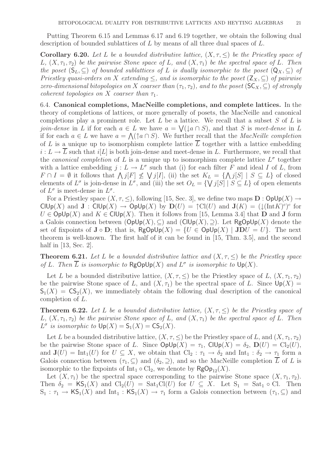Putting Theorem 6.15 and Lemmas 6.17 and 6.19 together, we obtain the following dual description of bounded sublattices of  $L$  by means of all three dual spaces of  $L$ .

**Corollary 6.20.** Let L be a bounded distributive lattice,  $(X, \tau, \leq)$  be the Priestley space of L,  $(X, \tau_1, \tau_2)$  be the pairwise Stone space of L, and  $(X, \tau_1)$  be the spectral space of L. Then the poset  $(S_L, \subset)$  of bounded sublattices of L is dually isomorphic to the poset  $(Q_X, \subset)$  of Priestley quasi-orders on X extending  $\leq$ , and is isomorphic to the poset  $(Z_X, \subseteq)$  of pairwise zero-dimensional bitopologies on X coarser than  $(\tau_1, \tau_2)$ , and to the poset  $(\mathsf{SC}_X, \subseteq)$  of strongly coherent topologies on X coarser than  $\tau_1$ .

6.4. Canonical completions, MacNeille completions, and complete lattices. In the theory of completions of lattices, or more generally of posets, the MacNeille and canonical completions play a prominent role. Let  $L$  be a lattice. We recall that a subset  $S$  of  $L$  is *join-dense* in L if for each  $a \in L$  we have  $a = \sqrt{(\n\log n S)}$ , and that S is meet-dense in L if for each  $a \in L$  we have  $a = \bigwedge (\uparrow a \cap S)$ . We further recall that the *MacNeille completion* of L is a unique up to isomorphism complete lattice  $\overline{L}$  together with a lattice embedding  $i: L \to L$  such that  $i[L]$  is both join-dense and meet-dense in L. Furthermore, we recall that the *canonical completion* of L is a unique up to isomorphism complete lattice  $L^{\sigma}$  together with a lattice embedding  $j: L \to L^{\sigma}$  such that (i) for each filter F and ideal I of L, from  $F \cap I = \emptyset$  it follows that  $\bigwedge j[F] \not\leq \bigvee j[I]$ , (ii) the set  $K_L = \{\bigwedge j[S] \mid S \subseteq L\}$  of closed elements of  $L^{\sigma}$  is join-dense in  $L^{\sigma}$ , and (iii) the set  $O_L = \{ \bigvee j[S] \mid S \subseteq L \}$  of open elements of  $L^{\sigma}$  is meet-dense in  $L^{\sigma}$ .

For a Priestley space  $(X, \tau, \leq)$ , following [15, Sec. 3], we define two maps  $\mathbf{D} : \mathsf{OpUp}(X) \to$ CIUp(X) and  $J: ClUp(X) \to OpUp(X)$  by  $D(U) = \uparrow Cl(U)$  and  $J(K) = (\downarrow (Int K)^c)^c$  for  $U \in \text{OpUp}(X)$  and  $K \in \text{ClUp}(X)$ . Then it follows from [15, Lemma 3.4] that **D** and **J** form a Galois connection between  $(\mathsf{OpUp}(X), \subseteq)$  and  $(\mathsf{ClUp}(X), \supseteq)$ . Let RgOpUp(X) denote the set of fixpoints of  $J \circ D$ ; that is,  $RgOpUp(X) = \{U \in OpUp(X) \mid JDU = U\}$ . The next theorem is well-known. The first half of it can be found in [15, Thm. 3.5], and the second half in [13, Sec. 2].

**Theorem 6.21.** Let L be a bounded distributive lattice and  $(X, \tau, \leq)$  be the Priestley space of L. Then  $\overline{L}$  is isomorphic to  $\mathsf{RgOplp}(X)$  and  $L^{\sigma}$  is isomorphic to  $\mathsf{Up}(X)$ .

Let L be a bounded distributive lattice,  $(X, \tau, \leq)$  be the Priestley space of L,  $(X, \tau_1, \tau_2)$ be the pairwise Stone space of L, and  $(X, \tau_1)$  be the spectral space of L. Since  $Up(X) =$  $S_1(X) = \mathsf{CS}_2(X)$ , we immediately obtain the following dual description of the canonical completion of L.

**Theorem 6.22.** Let L be a bounded distributive lattice,  $(X, \tau, \leq)$  be the Priestley space of L,  $(X, \tau_1, \tau_2)$  be the pairwise Stone space of L, and  $(X, \tau_1)$  be the spectral space of L. Then  $L^{\sigma}$  is isomorphic to  $\mathsf{Up}(X) = \mathsf{S}_1(X) = \mathsf{CS}_2(X)$ .

Let L be a bounded distributive lattice,  $(X, \tau, \leq)$  be the Priestley space of L, and  $(X, \tau_1, \tau_2)$ be the pairwise Stone space of L. Since  $\text{OpUp}(X) = \tau_1$ ,  $\text{ClUp}(X) = \delta_2$ ,  $\text{D}(U) = \text{Cl}_2(U)$ , and  $J(U) = Int_1(U)$  for  $U \subseteq X$ , we obtain that  $Cl_2 : \tau_1 \to \delta_2$  and  $Int_1 : \delta_2 \to \tau_1$  form a Galois connection between  $(\tau_1, \subseteq)$  and  $(\delta_2, \supseteq)$ , and so the MacNeille completion L of L is isomorphic to the fixpoints of Int<sub>1</sub>  $\circ$  Cl<sub>2</sub>, we denote by  $\mathsf{RgOp}_{12}(X)$ .

Let  $(X, \tau_1)$  be the spectral space corresponding to the pairwise Stone space  $(X, \tau_1, \tau_2)$ . Then  $\delta_2 = \mathsf{KS}_1(X)$  and  $\mathrm{Cl}_2(U) = \mathrm{Sat}_1\mathrm{Cl}(U)$  for  $U \subseteq X$ . Let  $\mathrm{S}_1 = \mathrm{Sat}_1 \circ \mathrm{Cl}$ . Then  $S_1 : \tau_1 \to {\sf KS}_1(X)$  and  $\mathrm{Int}_1 : {\sf KS}_1(X) \to \tau_1$  form a Galois connection between  $(\tau_1, \subseteq)$  and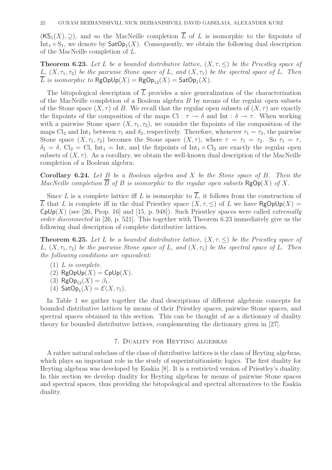$(KS_1(X), \supseteq)$ , and so the MacNeille completion  $\overline{L}$  of L is isomorphic to the fixpoints of Int<sub>1</sub>  $\circ$  S<sub>1</sub>, we denote by  $\mathsf{SatOp}_1(X)$ . Consequently, we obtain the following dual description of the MacNeille completion of L.

**Theorem 6.23.** Let L be a bounded distributive lattice,  $(X, \tau, \leq)$  be the Priestley space of L,  $(X, \tau_1, \tau_2)$  be the pairwise Stone space of L, and  $(X, \tau_1)$  be the spectral space of L. Then L is isomorphic to  $\mathsf{RgOplp}(X) = \mathsf{RgOp}_{12}(X) = \mathsf{SatOp}_1(X)$ .

The bitopological description of  $\overline{L}$  provides a nice generalization of the characterization of the MacNeille completion of a Boolean algebra  $B$  by means of the regular open subsets of the Stone space  $(X, \tau)$  of B. We recall that the regular open subsets of  $(X, \tau)$  are exactly the fixpoints of the composition of the maps Cl :  $\tau \to \delta$  and Int :  $\delta \to \tau$ . When working with a pairwise Stone space  $(X, \tau_1, \tau_2)$ , we consider the fixpoints of the composition of the maps Cl<sub>2</sub> and Int<sub>1</sub> between  $\tau_1$  and  $\delta_2$ , respectively. Therefore, whenever  $\tau_1 = \tau_2$ , the pairwise Stone space  $(X, \tau_1, \tau_2)$  becomes the Stone space  $(X, \tau)$ , where  $\tau = \tau_1 = \tau_2$ . So  $\tau_1 = \tau$ ,  $\delta_2 = \delta$ , Cl<sub>2</sub> = Cl, Int<sub>1</sub> = Int, and the fixpoints of Int<sub>1</sub>  $\circ$  Cl<sub>2</sub> are exactly the regular open subsets of  $(X, \tau)$ . As a corollary, we obtain the well-known dual description of the MacNeille completion of a Boolean algebra:

**Corollary 6.24.** Let  $B$  be a Boolean algebra and  $X$  be the Stone space of  $B$ . Then the MacNeille completion  $\overline{B}$  of B is isomorphic to the regular open subsets  $\mathsf{RgOp}(X)$  of X.

Since L is a complete lattice iff L is isomorphic to  $\overline{L}$ , it follows from the construction of L that L is complete iff in the dual Priestley space  $(X, \tau, \leq)$  of L we have RgOpUp $(X)$  =  $CpUp(X)$  (see [26, Prop. 16] and [15, p. 948]). Such Priestley spaces were called *extremally* order disconnected in [26, p. 521]. This together with Theorem 6.23 immediately give us the following dual description of complete distributive lattices.

**Theorem 6.25.** Let L be a bounded distributive lattice,  $(X, \tau, \leq)$  be the Priestley space of L,  $(X, \tau_1, \tau_2)$  be the pairwise Stone space of L, and  $(X, \tau_1)$  be the spectral space of L. Then the following conditions are equivalent:

- $(1)$  *L* is complete.
- (2)  $\mathsf{RgOpUp}(X) = \mathsf{CpUp}(X)$ .
- (3) RgOp<sub>12</sub> $(X) = \beta_1$ .
- (4)  $\mathsf{SatOp}_1(X) = \mathcal{E}(X, \tau_1).$

In Table 1 we gather together the dual descriptions of different algebraic concepts for bounded distributive lattices by means of their Priestley spaces, pairwise Stone spaces, and spectral spaces obtained in this section. This can be thought of as a dictionary of duality theory for bounded distributive lattices, complementing the dictionary given in [27].

## 7. Duality for Heyting algebras

A rather natural subclass of the class of distributive lattices is the class of Heyting algebras, which plays an important role in the study of superintuitionistic logics. The first duality for Heyting algebras was developed by Esakia [8]. It is a restricted version of Priestley's duality. In this section we develop duality for Heyting algebras by means of pairwise Stone spaces and spectral spaces, thus providing the bitopological and spectral alternatives to the Esakia duality.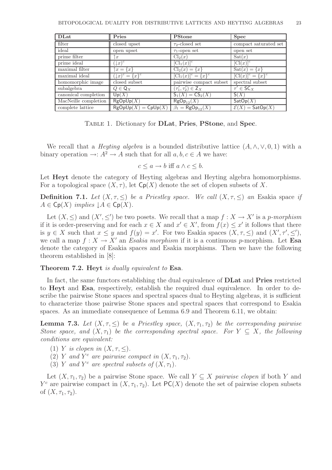| <b>DLat</b>          | Pries                                      | <b>PStone</b>                      | <b>Spec</b>                          |
|----------------------|--------------------------------------------|------------------------------------|--------------------------------------|
| filter               | closed upset                               | $\tau_2$ -closed set               | compact saturated set                |
| ideal                | open upset                                 | $\tau_1$ -open set                 | open set                             |
| prime filter         | $\alpha$                                   | $\text{Cl}_2(x)$                   | $\text{Sat}(x)$                      |
| prime ideal          | $(\downarrow x)^c$                         | $[\mathrm{Cl}_1(x)]^c$             | $[C(x)]^c$                           |
| maximal filter       | $\uparrow x = \{x\}$                       | $Cl_2(x) = \{x\}$                  | $\text{Sat}(x) = \{x\}$              |
| maximal ideal        | $(\downarrow \! x)^c = \{\overline{x}\}^c$ | $[\text{Cl}_1(x)]^c = \{x\}^c$     | $[Cl(x)]^c = \{x\}^c$                |
| homomorphic image    | closed subset                              | pairwise compact subset            | spectral subset                      |
| subalgebra           | $Q \in \mathsf{Q}_X$                       | $(\tau_1',\tau_2')\in\mathsf{Z}_X$ | $\tau' \in \mathsf{SC}_X$            |
| canonical completion | Up(X)                                      | $S_1(X) = CS_2(X)$                 | S(X)                                 |
| MacNeille completion | RgOpUp(X)                                  | $RgOp_{12}(X)$                     | $\mathsf{SatOp}(X)$                  |
| complete lattice     | $\mathsf{RgOpUp}(X) = \mathsf{CpUp}(X)$    | $\beta_1 = \mathsf{RgOp}_{12}(X)$  | $\mathcal{E}(X) = \mathsf{SatOp}(X)$ |

Table 1. Dictionary for DLat, Pries, PStone, and Spec.

We recall that a *Heyting algebra* is a bounded distributive lattice  $(A, \wedge, \vee, 0, 1)$  with a binary operation  $\rightarrow: A^2 \rightarrow A$  such that for all  $a, b, c \in A$  we have:

$$
c \le a \to b \text{ iff } a \land c \le b.
$$

Let **Heyt** denote the category of Heyting algebras and Heyting algebra homomorphisms. For a topological space  $(X, \tau)$ , let  $\mathsf{Cp}(X)$  denote the set of clopen subsets of X.

**Definition 7.1.** Let  $(X, \tau, \leq)$  be a Priestley space. We call  $(X, \tau, \leq)$  an Esakia space if  $A \in \mathsf{Cp}(X)$  implies  $\downarrow A \in \mathsf{Cp}(X)$ .

Let  $(X, \leq)$  and  $(X', \leq')$  be two posets. We recall that a map  $f : X \to X'$  is a p-morphism if it is order-preserving and for each  $x \in X$  and  $x' \in X'$ , from  $f(x) \leq x'$  it follows that there is  $y \in X$  such that  $x \leq y$  and  $f(y) = x'$ . For two Esakia spaces  $(X, \tau, \leq)$  and  $(X', \tau', \leq')$ , we call a map  $f: X \to X'$  an Esakia morphism if it is a continuous p-morphism. Let Esa denote the category of Esakia spaces and Esakia morphisms. Then we have the following theorem established in [8]:

## Theorem 7.2. Heyt is dually equivalent to Esa.

In fact, the same functors establishing the dual equivalence of DLat and Pries restricted to Heyt and Esa, respectively, establish the required dual equivalence. In order to describe the pairwise Stone spaces and spectral spaces dual to Heyting algebras, it is sufficient to characterize those pairwise Stone spaces and spectral spaces that correspond to Esakia spaces. As an immediate consequence of Lemma 6.9 and Theorem 6.11, we obtain:

**Lemma 7.3.** Let  $(X, \tau, \leq)$  be a Priestley space,  $(X, \tau_1, \tau_2)$  be the corresponding pairwise Stone space, and  $(X, \tau_1)$  be the corresponding spectral space. For  $Y \subseteq X$ , the following conditions are equivalent:

- (1) Y is clopen in  $(X, \tau, \leq)$ .
- (2) Y and  $Y^c$  are pairwise compact in  $(X, \tau_1, \tau_2)$ .
- (3) Y and Y<sup>c</sup> are spectral subsets of  $(X, \tau_1)$ .

Let  $(X, \tau_1, \tau_2)$  be a pairwise Stone space. We call  $Y \subseteq X$  pairwise clopen if both Y and  $Y^c$  are pairwise compact in  $(X, \tau_1, \tau_2)$ . Let  $PC(X)$  denote the set of pairwise clopen subsets of  $(X, \tau_1, \tau_2)$ .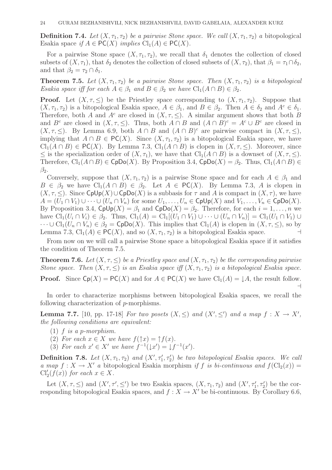**Definition 7.4.** Let  $(X, \tau_1, \tau_2)$  be a pairwise Stone space. We call  $(X, \tau_1, \tau_2)$  a bitopological Esakia space if  $A \in PC(X)$  implies  $Cl_1(A) \in PC(X)$ .

For a pairwise Stone space  $(X, \tau_1, \tau_2)$ , we recall that  $\delta_1$  denotes the collection of closed subsets of  $(X, \tau_1)$ , that  $\delta_2$  denotes the collection of closed subsets of  $(X, \tau_2)$ , that  $\beta_1 = \tau_1 \cap \delta_2$ , and that  $\beta_2 = \tau_2 \cap \delta_1$ .

**Theorem 7.5.** Let  $(X, \tau_1, \tau_2)$  be a pairwise Stone space. Then  $(X, \tau_1, \tau_2)$  is a bitopological Esakia space iff for each  $A \in \beta_1$  and  $B \in \beta_2$  we have  $\text{Cl}_1(A \cap B) \in \beta_2$ .

**Proof.** Let  $(X, \tau, \leq)$  be the Priestley space corresponding to  $(X, \tau_1, \tau_2)$ . Suppose that  $(X, \tau_1, \tau_2)$  is a bitopological Esakia space,  $A \in \beta_1$ , and  $B \in \beta_2$ . Then  $A \in \delta_2$  and  $A^c \in \delta_1$ . Therefore, both A and  $A^c$  are closed in  $(X, \tau, \leq)$ . A similar argument shows that both B and  $B^c$  are closed in  $(X, \tau, \leq)$ . Thus, both  $A \cap B$  and  $(A \cap B)^c = A^c \cup B^c$  are closed in  $(X, \tau, \leq)$ . By Lemma 6.9, both  $A \cap B$  and  $(A \cap B)^c$  are pairwise compact in  $(X, \tau, \leq)$ , implying that  $A \cap B \in PC(X)$ . Since  $(X, \tau_1, \tau_2)$  is a bitopological Esakia space, we have  $Cl_1(A \cap B) \in \mathsf{PC}(X)$ . By Lemma 7.3,  $Cl_1(A \cap B)$  is clopen in  $(X, \tau, \leq)$ . Moreover, since ≤ is the specialization order of  $(X, \tau_1)$ , we have that Cl<sub>1</sub>(A ∩ B) is a downset of  $(X, \tau, ≤)$ . Therefore,  $\text{Cl}_1(A \cap B) \in \text{CpDo}(X)$ . By Proposition 3.4,  $\text{CpDo}(X) = \beta_2$ . Thus,  $\text{Cl}_1(A \cap B) \in$  $\beta_2$ .

Conversely, suppose that  $(X, \tau_1, \tau_2)$  is a pairwise Stone space and for each  $A \in \beta_1$  and  $B \in \beta_2$  we have  $\text{Cl}_1(A \cap B) \in \beta_2$ . Let  $A \in \text{PC}(X)$ . By Lemma 7.3, A is clopen in  $(X, \tau, \leq)$ . Since CpUp $(X) \cup$ CpDo $(X)$  is a subbasis for  $\tau$  and A is compact in  $(X, \tau)$ , we have  $A = (U_1 \cap V_1) \cup \cdots \cup (U_n \cap V_n)$  for some  $U_1, \ldots, U_n \in \text{Cplp}(X)$  and  $V_1, \ldots, V_n \in \text{Cplp}(X)$ . By Proposition 3.4,  $CpUp(X) = \beta_1$  and  $CpDo(X) = \beta_2$ . Therefore, for each  $i = 1, ..., n$  we have  $\text{Cl}_1(U_i \cap V_i) \in \beta_2$ . Thus,  $\text{Cl}_1(A) = \text{Cl}_1[(U_1 \cap V_1) \cup \cdots \cup (U_n \cap V_n)] = \text{Cl}_1(U_1 \cap V_1) \cup \cdots$  $\cdots \cup Cl_1(U_n \cap V_n) \in \beta_2 = \mathsf{CpDo}(X)$ . This implies that  $Cl_1(A)$  is clopen in  $(X, \tau, \leq),$  so by Lemma 7.3, Cl<sub>1</sub>(A)  $\in$  PC(X), and so  $(X, \tau_1, \tau_2)$  is a bitopological Esakia space. ⊣

From now on we will call a pairwise Stone space a bitopological Esakia space if it satisfies the condition of Theorem 7.5.

**Theorem 7.6.** Let  $(X, \tau, \leq)$  be a Priestley space and  $(X, \tau_1, \tau_2)$  be the corresponding pairwise Stone space. Then  $(X, \tau, \leq)$  is an Esakia space iff  $(X, \tau_1, \tau_2)$  is a bitopological Esakia space.

**Proof.** Since  $\text{Cp}(X) = \text{PC}(X)$  and for  $A \in \text{PC}(X)$  we have  $\text{Cl}_1(A) = \downarrow A$ , the result follow. ⊣

In order to characterize morphisms between bitopological Esakia spaces, we recall the following characterization of p-morphisms.

**Lemma 7.7.** [10, pp. 17-18] For two posets  $(X, \leq)$  and  $(X', \leq')$  and a map  $f : X \to X'$ , the following conditions are equivalent:

- $(1)$  f is a p-morphism.
- (2) For each  $x \in X$  we have  $f(\uparrow x) = \uparrow f(x)$ .
- (3) For each  $x' \in X'$  we have  $f^{-1}(\downarrow x') = \downarrow f^{-1}(x')$ .

**Definition 7.8.** Let  $(X, \tau_1, \tau_2)$  and  $(X', \tau'_1, \tau'_2)$  be two bitopological Esakia spaces. We call a map  $f: X \to X'$  a bitopological Esakia morphism if f is bi-continuous and  $f(\text{Cl}_2(x)) =$  $\text{Cl}'_2(f(x))$  for each  $x \in X$ .

Let  $(X, \tau, \leq)$  and  $(X', \tau', \leq')$  be two Esakia spaces,  $(X, \tau_1, \tau_2)$  and  $(X', \tau'_1, \tau'_2)$  be the corresponding bitopological Esakia spaces, and  $f : X \to X'$  be bi-continuous. By Corollary 6.6,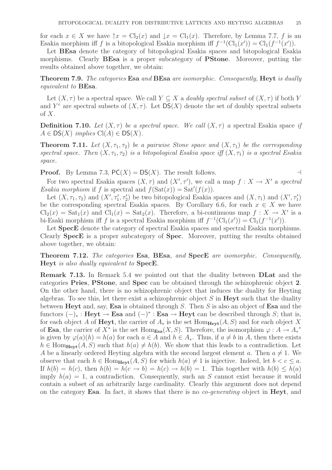for each  $x \in X$  we have  $\uparrow x = \text{Cl}_2(x)$  and  $\downarrow x = \text{Cl}_1(x)$ . Therefore, by Lemma 7.7, f is an Esakia morphism iff f is a bitopological Esakia morphism iff  $f^{-1}(\text{Cl}_1(x')) = \text{Cl}_1(f^{-1}(x'))$ .

Let BEsa denote the category of bitopological Esakia spaces and bitopological Esakia morphisms. Clearly **BEsa** is a proper subcategory of **PStone**. Moreover, putting the results obtained above together, we obtain:

Theorem 7.9. The categories Esa and BEsa are isomorphic. Consequently, Heyt is dually equivalent to BEsa.

Let  $(X, \tau)$  be a spectral space. We call  $Y \subseteq X$  a *doubly spectral subset* of  $(X, \tau)$  if both Y and  $Y^c$  are spectral subsets of  $(X, \tau)$ . Let  $DS(X)$  denote the set of doubly spectral subsets of  $X$ .

**Definition 7.10.** Let  $(X, \tau)$  be a spectral space. We call  $(X, \tau)$  a spectral Esakia space if  $A \in DS(X)$  implies  $Cl(A) \in DS(X)$ .

**Theorem 7.11.** Let  $(X, \tau_1, \tau_2)$  be a pairwise Stone space and  $(X, \tau_1)$  be the corresponding spectral space. Then  $(X, \tau_1, \tau_2)$  is a bitopological Esakia space iff  $(X, \tau_1)$  is a spectral Esakia space.

**Proof.** By Lemma 7.3,  $PC(X) = DS(X)$ . The result follows. ⊣

For two spectral Esakia spaces  $(X, \tau)$  and  $(X', \tau')$ , we call a map  $f : X \to X'$  a spectral Esakia morphism if f is spectral and  $f(\text{Sat}(x)) = \text{Sat}'(f(x))$ .

Let  $(X, \tau_1, \tau_2)$  and  $(X', \tau'_1, \tau'_2)$  be two bitopological Esakia spaces and  $(X, \tau_1)$  and  $(X', \tau'_1)$ be the corresponding spectral Esakia spaces. By Corollary 6.6, for each  $x \in X$  we have  $\text{Cl}_2(x) = \text{Sat}_1(x)$  and  $\text{Cl}_1(x) = \text{Sat}_2(x)$ . Therefore, a bi-continuous map  $f: X \to X'$  is a bi-Esaki morphism iff f is a spectral Esakia morphism iff  $f^{-1}(\text{Cl}_1(x')) = \text{Cl}_1(f^{-1}(x'))$ .

Let SpecE denote the category of spectral Esakia spaces and spectral Esakia morphisms. Clearly SpecE is a proper subcategory of Spec. Moreover, putting the results obtained above together, we obtain:

Theorem 7.12. The categories Esa, BEsa, and SpecE are isomorphic. Consequently, Heyt is also dually equivalent to SpecE.

Remark 7.13. In Remark 5.4 we pointed out that the duality between DLat and the categories Pries, PStone, and Spec can be obtained through the schizophrenic object 2. On the other hand, there is no schizophrenic object that induces the duality for Heyting algebras. To see this, let there exist a schizophrenic object  $S$  in **Heyt** such that the duality between Heyt and, say, Esa is obtained through S. Then S is also an object of Esa and the functors  $(-)_* : \textbf{Heyt} \to \textbf{Esa}$  and  $(-)^* : \textbf{Esa} \to \textbf{Heyt}$  can be described through S; that is, for each object A of Heyt, the carrier of  $A_*$  is the set Hom<sub>Hevt</sub> $(A, S)$  and for each object X of Esa, the carrier of  $X^*$  is the set  $\text{Hom}_{\text{Esa}}(X, S)$ . Therefore, the isomorphism  $\varphi: A \to A_*^*$ is given by  $\varphi(a)(h) = h(a)$  for each  $a \in A$  and  $h \in A_*$ . Thus, if  $a \neq b$  in A, then there exists  $h \in \text{Hom}_{\textbf{Hext}}(A, S)$  such that  $h(a) \neq h(b)$ . We show that this leads to a contradiction. Let A be a linearly ordered Heyting algebra with the second largest element a. Then  $a \neq 1$ . We observe that each  $h \in \text{Hom}_{\textbf{Heyt}}(A, S)$  for which  $h(a) \neq 1$  is injective. Indeed, let  $b < c \leq a$ . If  $h(b) = h(c)$ , then  $h(b) = h(c \rightarrow b) = h(c) \rightarrow h(b) = 1$ . This together with  $h(b) \leq h(a)$ imply  $h(a) = 1$ , a contradiction. Consequently, such an S cannot exist because it would contain a subset of an arbitrarily large cardinality. Clearly this argument does not depend on the category **Esa**. In fact, it shows that there is no *co-generating* object in **Heyt**, and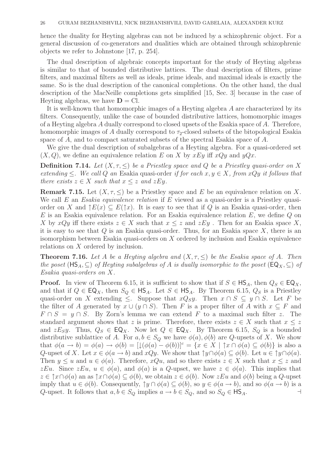hence the duality for Heyting algebras can not be induced by a schizophrenic object. For a general discussion of co-generators and dualities which are obtained through schizophrenic objects we refer to Johnstone [17, p. 254].

The dual description of algebraic concepts important for the study of Heyting algebras is similar to that of bounded distributive lattices. The dual description of filters, prime filters, and maximal filters as well as ideals, prime ideals, and maximal ideals is exactly the same. So is the dual description of the canonical completions. On the other hand, the dual description of the MacNeille completions gets simplified [15, Sec. 3] because in the case of Heyting algebras, we have  $D = \text{Cl}$ .

It is well-known that homomorphic images of a Heyting algebra A are characterized by its filters. Consequently, unlike the case of bounded distributive lattices, homomorphic images of a Heyting algebra A dually correspond to closed upsets of the Esakia space of A. Therefore, homomorphic images of A dually correspond to  $\tau_2$ -closed subsets of the bitopological Esakia space of A, and to compact saturated subsets of the spectral Esakia space of A.

We give the dual description of subalgebras of a Heyting algebra. For a quasi-ordered set  $(X, Q)$ , we define an equivalence relation E on X by xEy iff xQy and yQx.

**Definition 7.14.** Let  $(X, \tau, \leq)$  be a Priestley space and Q be a Priestley quasi-order on X extending  $\leq$ . We call Q an Esakia quasi-order if for each  $x, y \in X$ , from  $xQy$  it follows that there exists  $z \in X$  such that  $x \leq z$  and  $zEy$ .

**Remark 7.15.** Let  $(X, \tau, \leq)$  be a Priestley space and E be an equivalence relation on X. We call  $E$  an Esakia equivalence relation if  $E$  viewed as a quasi-order is a Priestley quasiorder on X and  $\uparrow E(x) \subseteq E(\uparrow x)$ . It is easy to see that if Q is an Esakia quasi-order, then  $E$  is an Esakia equivalence relation. For an Esakia equivalence relation  $E$ , we define  $Q$  on X by xQy iff there exists  $z \in X$  such that  $x \leq z$  and  $zEy$ . Then for an Esakia space X, it is easy to see that  $Q$  is an Esakia quasi-order. Thus, for an Esakia space  $X$ , there is an isomorphism between Esakia quasi-orders on X ordered by inclusion and Esakia equivalence relations on X ordered by inclusion.

**Theorem 7.16.** Let A be a Heyting algebra and  $(X, \tau, \leq)$  be the Esakia space of A. Then the poset  $(\text{HS}_A, \subseteq)$  of Heyting subalgebras of A is dually isomorphic to the poset  $(\text{EQ}_X, \subseteq)$  of Esakia quasi-orders on X.

**Proof.** In view of Theorem 6.15, it is sufficient to show that if  $S \in HS_A$ , then  $Q_S \in EQ_X$ , and that if  $Q \in \mathsf{EQ}_X$ , then  $S_Q \in \mathsf{HS}_A$ . Let  $S \in \mathsf{HS}_A$ . By Theorem 6.15,  $Q_S$  is a Priestley quasi-order on X extending  $\leq$ . Suppose that  $xQ_Sy$ . Then  $x \cap S \subseteq y \cap S$ . Let F be the filter of A generated by  $x \cup (y \cap S)$ . Then F is a proper filter of A with  $x \subseteq F$  and  $F \cap S = y \cap S$ . By Zorn's lemma we can extend F to a maximal such filter z. The standard argument shows that z is prime. Therefore, there exists  $z \in X$  such that  $x \leq z$ and  $zE_{S}y$ . Thus,  $Q_{S} \in \mathsf{EQ}_X$ . Now let  $Q \in \mathsf{EQ}_X$ . By Theorem 6.15,  $S_Q$  is a bounded distributive sublattice of A. For  $a, b \in S_Q$  we have  $\phi(a), \phi(b)$  are Q-upsets of X. We show that  $\phi(a \to b) = \phi(a) \to \phi(b) = [\downarrow (\phi(a) - \phi(b))]^c = \{x \in X \mid \uparrow x \cap \phi(a) \subseteq \phi(b)\}\$ is also a Q-upset of X. Let  $x \in \phi(a \to b)$  and  $xQy$ . We show that  $\uparrow y \cap \phi(a) \subseteq \phi(b)$ . Let  $u \in \uparrow y \cap \phi(a)$ . Then  $y \leq u$  and  $u \in \phi(a)$ . Therefore,  $xQu$ , and so there exists  $z \in X$  such that  $x \leq z$  and zEu. Since  $zEu$ ,  $u \in \phi(a)$ , and  $\phi(a)$  is a Q-upset, we have  $z \in \phi(a)$ . This implies that  $z \in \hat{\tau} \times \cap \phi(a)$  an as  $\hat{\tau} \times \cap \phi(a) \subseteq \phi(b)$ , we obtain  $z \in \phi(b)$ . Now  $z \in \mathcal{L}$  and  $\phi(b)$  being a Q-upset imply that  $u \in \phi(b)$ . Consequently,  $\gamma y \cap \phi(a) \subseteq \phi(b)$ , so  $y \in \phi(a \to b)$ , and so  $\phi(a \to b)$  is a Q-upset. It follows that  $a, b \in S_Q$  implies  $a \to b \in S_Q$ , and so  $S_Q \in \mathsf{HS}_A$ .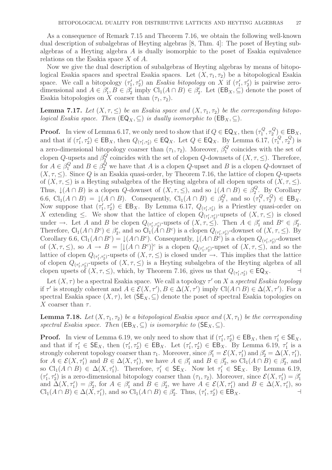As a consequence of Remark 7.15 and Theorem 7.16, we obtain the following well-known dual description of subalgebras of Heyting algebras [8, Thm. 4]: The poset of Heyting subalgebras of a Heyting algebra A is dually isomorphic to the poset of Esakia equivalence relations on the Esakia space X of A.

Now we give the dual description of subalgebras of Heyting algebras by means of bitopological Esakia spaces and spectral Esakia spaces. Let  $(X, \tau_1, \tau_2)$  be a bitopological Esakia space. We call a bitopology  $(\tau_1')$  $I'_1, \tau'_2$ ) an Esakia bitopology on X if  $(\tau'_1)$  $\left( \frac{1}{1}, \tau_{2}' \right)$  is pairwise zerodimensional and  $A \in \beta_1'$  $j'_1, B \in \beta'_2$  $\sum_{2}^{\prime}$  imply Cl<sub>1</sub>( $A \cap B$ )  $\in \beta_2^{\prime}$  $Z_2'$ . Let  $(EB_X, \subseteq)$  denote the poset of Esakia bitopologies on X coarser than  $(\tau_1, \tau_2)$ .

**Lemma 7.17.** Let  $(X, \tau, \leq)$  be an Esakia space and  $(X, \tau_1, \tau_2)$  be the corresponding bitopological Esakia space. Then  $(\mathsf{EQ}_X, \subseteq)$  is dually isomorphic to  $(\mathsf{EB}_X, \subseteq)$ .

**Proof.** In view of Lemma 6.17, we only need to show that if  $Q \in \mathsf{EQ}_X$ , then  $(\tau_1^Q)$  $^{1Q}_{1}, \tau^Q_2$  $\binom{Q}{2} \in \text{EB}_X,$ and that if  $(\tau_1)$  $Q_1$ ,  $\tau_2$ )  $\in$  EB<sub>X</sub>, then  $Q_{(\tau_1', \tau_2')}$   $\in$  EQ<sub>X</sub>. Let  $Q \in$  EQ<sub>X</sub>. By Lemma 6.17,  $\overline{(\tau_1^Q)}$  $^{Q}_{1}, \tau^{Q}_{2}$  $\binom{Q}{2}$  is a zero-dimensional bitopology coarser than  $(\tau_1, \tau_2)$ . Moreover,  $\beta_1^Q$  $\frac{1}{1}$  coincides with the set of clopen  $Q$ -upsets and  $\beta_2^Q$  $Q_2^Q$  coincides with the set of clopen Q-downsets of  $(X, \tau, \leq)$ . Therefore, for  $A \in \beta_1^Q$  $_1^Q$  and  $B \in \beta_2^Q$  we have that A is a clopen Q-upset and B is a clopen Q-downset of  $(X, \tau, \leq)$ . Since Q is an Esakia quasi-order, by Theorem 7.16, the lattice of clopen Q-upsets of  $(X, \tau, \leq)$  is a Heyting subalgebra of the Heyting algebra of all clopen upsets of  $(X, \tau, \leq)$ . Thus,  $\downarrow(A \cap B)$  is a clopen Q-downset of  $(X, \tau, \leq)$ , and so  $\downarrow(A \cap B) \in \beta_2^Q$  $\frac{Q}{2}$ . By Corollary 6.6,  $\text{Cl}_1(A \cap B) = \downarrow (A \cap B)$ . Consequently,  $\text{Cl}_1(A \cap B) \in \beta_2^Q$  $\sigma_2^Q$ , and so  $(\tau_1^Q)$  $^{1Q}_{1}, \tau^Q_2$  $2^Q$ )  $\in$  EB<sub>X</sub>. Now suppose that  $(\tau_1)$  $(\tau_1', \tau_2') \in \text{EB}_X$ . By Lemma 6.17,  $Q_{(\tau_1', \tau_2')}$  is a Priestley quasi-order on X extending  $\leq$ . We show that the lattice of clopen  $Q_{(\tau_1', \tau_2')}$ -upsets of  $(X, \tau, \leq)$  is closed under  $\rightarrow$ . Let A and B be clopen  $Q_{(\tau_1', \tau_2')}$ -upsets of  $(X, \tau, \leq)$ . Then  $A \in \beta_1'$  and  $B^c \in \beta_2'$  $\frac{1}{2}$ . Therefore,  $\mathsf{Cl}_1(A \cap B^c) \in \beta_2'$ ', and so  $\mathsf{CI}_1(\overline{A} \cap B^c)$  is a clopen  $Q_{(\tau'_1, \tau'_2)}$ -downset of  $(X, \tau, \le)$ . By Corollary 6.6,  $Cl_1(A \cap B^c) = \downarrow (A \cap B^c)$ . Consequently,  $\downarrow (A \cap B^c)$  is a clopen  $Q_{(\tau_1', \tau_2')}$ -downset of  $(X, \tau, \leq)$ , so  $A \to B = [\downarrow(A \cap B^c)]^c$  is a clopen  $Q_{(\tau_1', \tau_2')}$ -upset of  $(X, \tau, \leq)$ , and so the lattice of clopen  $Q_{(\tau_1', \tau_2')}$ -upsets of  $(X, \tau, \leq)$  is closed under  $\to$ . This implies that the lattice of clopen  $Q_{(\tau_1',\tau_2')}$ -upsets of  $(X,\tau,\leq)$  is a Heyting subalgebra of the Heyting algebra of all clopen upsets of  $(X, \tau, \leq)$ , which, by Theorem 7.16, gives us that  $Q_{(\tau_1', \tau_2')} \in \mathsf{EQ}_X$ .

Let  $(X, \tau)$  be a spectral Esakia space. We call a topology  $\tau'$  on X a spectral Esakia topology if  $\tau'$  is strongly coherent and  $A \in \mathcal{E}(X, \tau'), B \in \Delta(\overline{X}, \tau')$  imply  $\text{Cl}(A \cap B) \in \Delta(X, \tau').$  For a spectral Esakia space  $(X, \tau)$ , let  $(\mathsf{SE}_X, \subseteq)$  denote the poset of spectral Esakia topologies on X coarser than  $\tau$ .

**Lemma 7.18.** Let  $(X, \tau_1, \tau_2)$  be a bitopological Esakia space and  $(X, \tau_1)$  be the corresponding spectral Esakia space. Then  $(EB_X, \subseteq)$  is isomorphic to  $(SE_X, \subseteq)$ .

**Proof.** In view of Lemma 6.19, we only need to show that if  $(\tau_1)$  $\tau'_1, \tau'_2$ )  $\in \text{EB}_X$ , then  $\tau'_1 \in \text{SE}_X$ , and that if  $\tau_1' \in \mathsf{SE}_X$ , then  $(\tau_1')$  $\tau'_1, \tau'_2$ )  $\in \mathsf{EB}_X$ . Let  $(\tau'_1)$  $(t'_1, \tau'_2) \in \mathsf{EB}_X^{\mathsf{T}}$ . By Lemma 6.19,  $\tau'_1$  $_1'$  is a strongly coherent topology coarser than  $\tau_1$ . Moreover, since  $\beta'_1 = \mathcal{E}(X, \tau'_1)$  and  $\beta'_2 = \Delta(X, \tau'_1)$ , for  $A \in \mathcal{E}(X, \tau_1')$  and  $B \in \Delta(X, \tau_1')$ , we have  $A \in \beta_1'$  and  $B \in \beta_2'$  $\beta'_2$ , so  $\text{Cl}_1(A \cap B) \in \beta'_2$  $'_{2}$ , and so  $\text{Cl}_1(A \cap B) \in \Delta(X, \tau_1')$ . Therefore,  $\tau_1' \in \mathsf{SE}_X$ . Now let  $\tau_1' \in \mathsf{SE}_X$ . By Lemma 6.19,  $(\tau_1')$  $(\tau_1, \tau_2)$  is a zero-dimensional bitopology coarser than  $(\tau_1, \tau_2)$ . Moreover, since  $\mathcal{E}(X, \tau_1') = \beta_1'$ 1 and  $\Delta(X, \tau'_1) = \beta'_2$ '<sub>2</sub>, for  $A \in \beta'_1$  $\frac{1}{1}$  and  $\overline{B} \in \beta_2'$ <sup>2</sup><sub>2</sub>, we have  $A \in \mathcal{E}(X, \tau_1')$  and  $B \in \Delta(X, \tau_1')$ , so  $\text{Cl}_1(A \cap B) \in \Delta(X, \tau_1'),$  and so  $\text{Cl}_1(A \cap B) \in \beta_2'$ <sup>'</sup><sub>2</sub>. Thus,  $(\tau_1')$  $(\tau'_1, \tau'_2) \in \mathsf{EB}_X.$  +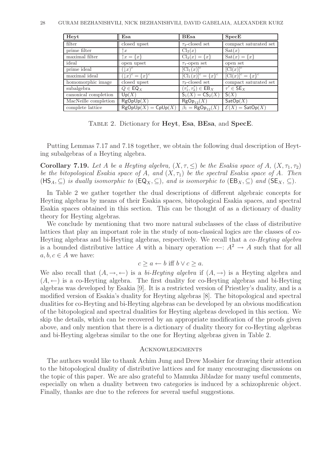| Heyt                 | Esa                                     | <b>BEsa</b>                       | SpecE                                     |
|----------------------|-----------------------------------------|-----------------------------------|-------------------------------------------|
| filter               | closed upset                            | $\tau_2$ -closed set              | compact saturated set                     |
| prime filter         | $\overline{x}$                          | $\text{Cl}_2(x)$                  | $\text{Sat}(x)$                           |
| maximal filter       | $\uparrow x = \{x\}$                    | $Cl_2(x) = \{x\}$                 | $\text{Sat}(x) = \{x\}$                   |
| ideal                | open upset                              | $\tau_1$ -open set                | open set                                  |
| prime ideal          | $(\downarrow \! x)^c$                   | $[\mathrm{Cl}_1(x)]^c$            | $[C(x)]^c$                                |
| maximal ideal        | $(\downarrow x)^c = \{\overline{x}\}^c$ | $[Cl_1(x)]^c = \{x\}^c$           | $[\overline{\mathrm{Cl}(x)]^c} = \{x\}^c$ |
| homomorphic image    | closed upset                            | $\tau_2$ -closed set              | compact saturated set                     |
| subalgebra           | $Q \in \textsf{EQ}_X$                   | $(\tau_1', \tau_2') \in EB_X$     | $\tau' \in \mathsf{SE}_X$                 |
| canonical completion | Up(X)                                   | $S_1(X) = CS_2(X)$                | S(X)                                      |
| MacNeille completion | RgOpUp(X)                               | $RgOp_{12}(X)$                    | $\mathsf{SatOp}(X)$                       |
| complete lattice     | $\mathsf{RgOpUp}(X) = \mathsf{CpUp}(X)$ | $\beta_1 = \mathsf{RgOp}_{12}(X)$ | $\mathcal{E}(X) = \mathsf{SatOp}(X)$      |

Table 2. Dictionary for Heyt, Esa, BEsa, and SpecE.

Putting Lemmas 7.17 and 7.18 together, we obtain the following dual description of Heyting subalgebras of a Heyting algebra.

**Corollary 7.19.** Let A be a Heyting algebra,  $(X, \tau, \leq)$  be the Esakia space of A,  $(X, \tau_1, \tau_2)$ be the bitopological Esakia space of A, and  $(X, \tau_1)$  be the spectral Esakia space of A. Then  $(HS_A, \subseteq)$  is dually isomorphic to  $(\mathsf{EQ}_X, \subseteq)$ , and is isomorphic to  $(\mathsf{EB}_X, \subseteq)$  and  $(\mathsf{SE}_X, \subseteq)$ .

In Table 2 we gather together the dual descriptions of different algebraic concepts for Heyting algebras by means of their Esakia spaces, bitopological Esakia spaces, and spectral Esakia spaces obtained in this section. This can be thought of as a dictionary of duality theory for Heyting algebras.

We conclude by mentioning that two more natural subclasses of the class of distributive lattices that play an important role in the study of non-classical logics are the classes of co-Heyting algebras and bi-Heyting algebras, respectively. We recall that a co-Heyting algebra is a bounded distributive lattice A with a binary operation  $\leftarrow: A^2 \rightarrow A$  such that for all  $a, b, c \in A$  we have:

$$
c \ge a \leftarrow b \text{ iff } b \vee c \ge a.
$$

We also recall that  $(A, \rightarrow, \leftarrow)$  is a bi-Heyting algebra if  $(A, \rightarrow)$  is a Heyting algebra and  $(A, \leftarrow)$  is a co-Heyting algebra. The first duality for co-Heyting algebras and bi-Heyting algebras was developed by Esakia [9]. It is a restricted version of Priestley's duality, and is a modified version of Esakia's duality for Heyting algebras [8]. The bitopological and spectral dualities for co-Heyting and bi-Heyting algebras can be developed by an obvious modification of the bitopological and spectral dualities for Heyting algebras developed in this section. We skip the details, which can be recovered by an appropriate modification of the proofs given above, and only mention that there is a dictionary of duality theory for co-Heyting algebras and bi-Heyting algebras similar to the one for Heyting algebras given in Table 2.

### **ACKNOWLEDGMENTS**

The authors would like to thank Achim Jung and Drew Moshier for drawing their attention to the bitopological duality of distributive lattices and for many encouraging discussions on the topic of this paper. We are also grateful to Mamuka Jibladze for many useful comments, especially on when a duality between two categories is induced by a schizophrenic object. Finally, thanks are due to the referees for several useful suggestions.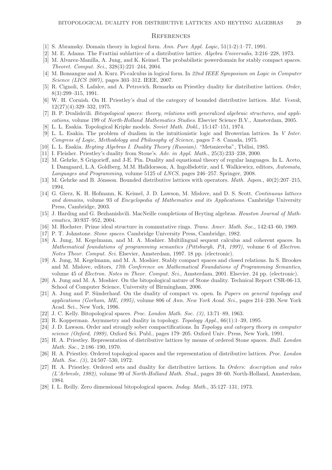#### **REFERENCES**

- [1] S. Abramsky. Domain theory in logical form. Ann. Pure Appl. Logic, 51(1-2):1–77, 1991.
- [2] M. E. Adams. The Frattini sublattice of a distributive lattice. Algebra Universalis, 3:216–228, 1973.
- [3] M. Alvarez-Manilla, A. Jung, and K. Keimel. The probabilistic powerdomain for stably compact spaces. Theoret. Comput. Sci., 328(3):221–244, 2004.
- [4] M. Bonsangue and A. Kurz. Pi-calculus in logical form. In 22nd IEEE Symposium on Logic in Computer Science (LICS 2007), pages 303–312. IEEE, 2007.
- [5] R. Cignoli, S. Lafalce, and A. Petrovich. Remarks on Priestley duality for distributive lattices. Order, 8(3):299–315, 1991.
- [6] W. H. Cornish. On H. Priestley's dual of the category of bounded distributive lattices. Mat. Vesnik, 12(27)(4):329–332, 1975.
- [7] B. P. Dvalishvili. Bitopological spaces: theory, relations with generalized algebraic structures, and applications, volume 199 of North-Holland Mathematics Studies. Elsevier Science B.V., Amsterdam, 2005.
- [8] L. L. Esakia. Topological Kripke models. Soviet Math. Dokl., 15:147–151, 1974.
- [9] L. L. Esakia. The problem of dualism in the intuitionistic logic and Browerian lattices. In V Inter. Congress of Logic, Methodology and Philosophy of Science, pages 7–8. Canada, 1975.
- [10] L. L. Esakia. Heyting Algebras I. Duality Theory (Russian). "Metsniereba", Tbilisi, 1985.
- [11] I. Fleisher. Priestley's duality from Stone's. Adv. in Appl. Math., 25(3):233–238, 2000.
- [12] M. Gehrke, S Grigorieff, and J-E. Pin. Duality and equational theory of regular languages. In L. Aceto, I. Damgaard, L.A. Goldberg, M.M. Halldorsson, A. Ingolfsdottir, and I. Walkiewicz, editors, Automata, Languages and Programming, volume 5125 of LNCS, pages 246–257. Springer, 2008.
- [13] M. Gehrke and B. Jónsson. Bounded distributive lattices with operators. *Math. Japon.*,  $40(2):207-215$ , 1994.
- [14] G. Gierz, K. H. Hofmann, K. Keimel, J. D. Lawson, M. Mislove, and D. S. Scott. Continuous lattices and domains, volume 93 of Encyclopedia of Mathematics and its Applications. Cambridge University Press, Cambridge, 2003.
- [15] J. Harding and G. Bezhanishvili. MacNeille completions of Heyting algebras. Houston Journal of Mathematics, 30:937–952, 2004.
- [16] M. Hochster. Prime ideal structure in commutative rings. Trans. Amer. Math. Soc., 142:43–60, 1969.
- [17] P. T. Johnstone. Stone spaces. Cambridge University Press, Cambridge, 1982.
- [18] A. Jung, M. Kegelmann, and M. A. Moshier. Multilingual sequent calculus and coherent spaces. In Mathematical foundations of programming semantics (Pittsburgh, PA, 1997), volume 6 of Electron. Notes Theor. Comput. Sci. Elsevier, Amsterdam, 1997. 18 pp. (electronic).
- [19] A. Jung, M. Kegelmann, and M. A. Moshier. Stably compact spaces and closed relations. In S. Brookes and M. Mislove, editors, 17th Conference on Mathematical Foundations of Programming Semantics, volume 45 of Electron. Notes in Theor. Comput. Sci., Amsterdam, 2001. Elsevier. 24 pp. (electronic).
- [20] A. Jung and M. A. Moshier. On the bitopological nature of Stone duality. Technical Report CSR-06-13, School of Computer Science, University of Birmingham, 2006.
- [21] A. Jung and P. Sünderhauf. On the duality of compact vs. open. In Papers on general topology and applications (Gorham, ME, 1995), volume 806 of Ann. New York Acad. Sci., pages 214–230. New York Acad. Sci., New York, 1996.
- [22] J. C. Kelly. Bitopological spaces. Proc. London Math. Soc. (3), 13:71–89, 1963.
- [23] R. Kopperman. Asymmetry and duality in topology. Topology Appl., 66(1):1–39, 1995.
- [24] J. D. Lawson. Order and strongly sober compactifications. In Topology and category theory in computer science (Oxford, 1989), Oxford Sci. Publ., pages 179–205. Oxford Univ. Press, New York, 1991.
- [25] H. A. Priestley. Representation of distributive lattices by means of ordered Stone spaces. Bull. London Math. Soc., 2:186–190, 1970.
- [26] H. A. Priestley. Ordered topological spaces and the representation of distributive lattices. Proc. London Math. Soc. (3), 24:507–530, 1972.
- [27] H. A. Priestley. Ordered sets and duality for distributive lattices. In Orders: description and roles (L'Arbresle, 1982), volume 99 of North-Holland Math. Stud., pages 39–60. North-Holland, Amsterdam, 1984.
- [28] I. L. Reilly. Zero dimensional bitopological spaces. Indag. Math., 35:127–131, 1973.